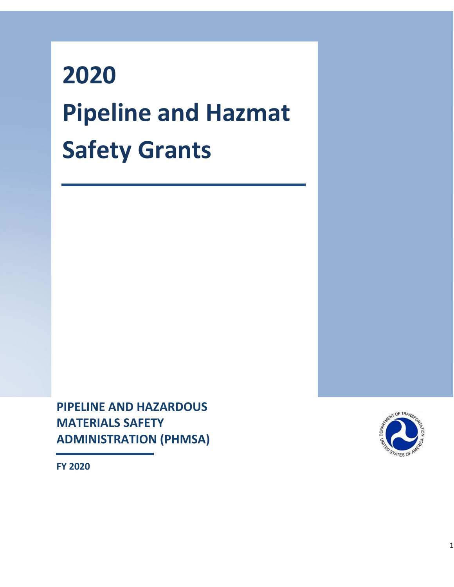# **2020 Pipeline and Hazmat Safety Grants**

**PIPELINE AND HAZARDOUS MATERIALS SAFETY ADMINISTRATION (PHMSA)** 



**FY 2020**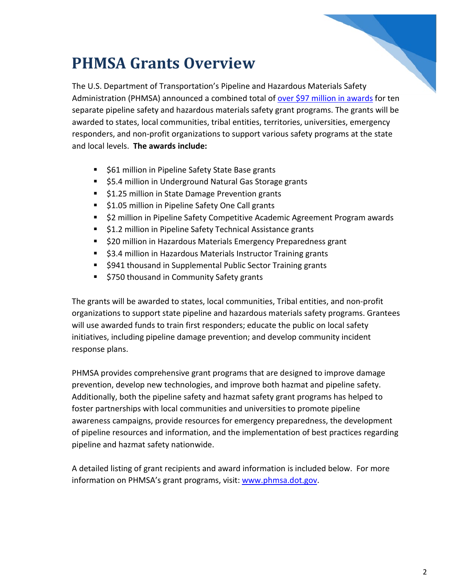#### **PHMSA Grants Overview**

The U.S. Department of Transportation's Pipeline and Hazardous Materials Safety Administration (PHMSA) announced a combined total of [over \\$97 million in awards](https://www.phmsa.dot.gov/news/us-transportation-secretary-elaine-l-chao-announces-over-97-million-enhance-pipeline-and) for ten separate pipeline safety and hazardous materials safety grant programs. The grants will be awarded to states, local communities, tribal entities, territories, universities, emergency responders, and non-profit organizations to support various safety programs at the state and local levels. **The awards include:**

- **561 million in Pipeline Safety State Base grants**
- \$5.4 million in Underground Natural Gas Storage grants
- **51.25 million in State Damage Prevention grants**
- **51.05 million in Pipeline Safety One Call grants**
- **52 million in Pipeline Safety Competitive Academic Agreement Program awards**
- **51.2 million in Pipeline Safety Technical Assistance grants**
- \$20 million in Hazardous Materials Emergency Preparedness grant
- \$3.4 million in Hazardous Materials Instructor Training grants
- \$941 thousand in Supplemental Public Sector Training grants
- **5750 thousand in Community Safety grants**

The grants will be awarded to states, local communities, Tribal entities, and non-profit organizations to support state pipeline and hazardous materials safety programs. Grantees will use awarded funds to train first responders; educate the public on local safety initiatives, including pipeline damage prevention; and develop community incident response plans.

PHMSA provides comprehensive grant programs that are designed to improve damage prevention, develop new technologies, and improve both hazmat and pipeline safety. Additionally, both the pipeline safety and hazmat safety grant programs has helped to foster partnerships with local communities and universities to promote pipeline awareness campaigns, provide resources for emergency preparedness, the development of pipeline resources and information, and the implementation of best practices regarding pipeline and hazmat safety nationwide.

A detailed listing of grant recipients and award information is included below. For more information on PHMSA's grant programs, visit: [www.phmsa.dot.gov.](http://www.phmsa.dot.gov/)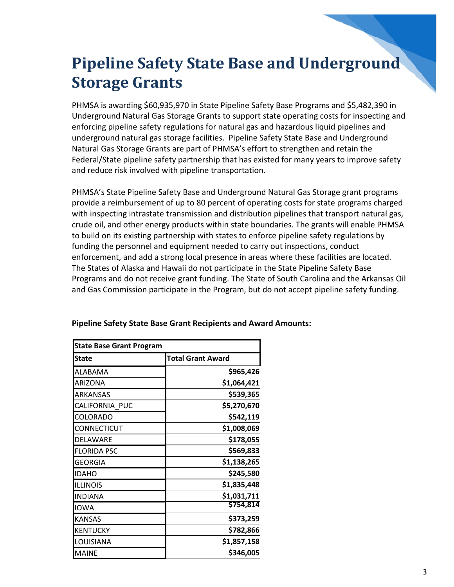#### **Pipeline Safety State Base and Underground Storage Grants**

PHMSA is awarding \$60,935,970 in State Pipeline Safety Base Programs and \$5,482,390 in Underground Natural Gas Storage Grants to support state operating costs for inspecting and enforcing pipeline safety regulations for natural gas and hazardous liquid pipelines and underground natural gas storage facilities. Pipeline Safety State Base and Underground Natural Gas Storage Grants are part of PHMSA's effort to strengthen and retain the Federal/State pipeline safety partnership that has existed for many years to improve safety and reduce risk involved with pipeline transportation.

PHMSA's State Pipeline Safety Base and Underground Natural Gas Storage grant programs provide a reimbursement of up to 80 percent of operating costs for state programs charged with inspecting intrastate transmission and distribution pipelines that transport natural gas, crude oil, and other energy products within state boundaries. The grants will enable PHMSA to build on its existing partnership with states to enforce pipeline safety regulations by funding the personnel and equipment needed to carry out inspections, conduct enforcement, and add a strong local presence in areas where these facilities are located. The States of Alaska and Hawaii do not participate in the State Pipeline Safety Base Programs and do not receive grant funding. The State of South Carolina and the Arkansas Oil and Gas Commission participate in the Program, but do not accept pipeline safety funding.

| <b>State Base Grant Program</b> |                          |
|---------------------------------|--------------------------|
| <b>State</b>                    | <b>Total Grant Award</b> |
| ALABAMA                         | \$965,426                |
| ARIZONA                         | \$1,064,421              |
| <b>ARKANSAS</b>                 | \$539,365                |
| CALIFORNIA PUC                  | \$5,270,670              |
| COLORADO                        | \$542,119                |
| <b>CONNECTICUT</b>              | \$1,008,069              |
| DELAWARE                        | \$178,055                |
| <b>FLORIDA PSC</b>              | \$569,833                |
| GEORGIA                         | \$1,138,265              |
| <b>IDAHO</b>                    | \$245,580                |
| <b>ILLINOIS</b>                 | \$1,835,448              |
| <b>INDIANA</b>                  | \$1,031,711              |
| <b>IOWA</b>                     | \$754,814                |
| <b>KANSAS</b>                   | \$373,259                |
| KENTUCKY                        | \$782,866                |
| LOUISIANA                       | \$1,857,158              |
| <b>MAINE</b>                    | \$346,005                |

#### **Pipeline Safety State Base Grant Recipients and Award Amounts:**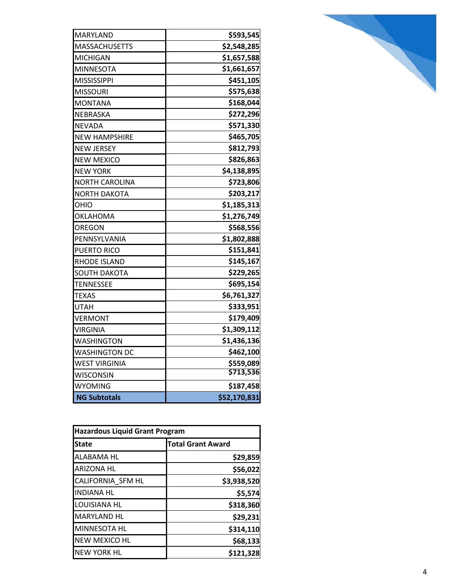| MARYLAND              | \$593,545    |
|-----------------------|--------------|
| <b>MASSACHUSETTS</b>  | \$2,548,285  |
| <b>MICHIGAN</b>       | \$1,657,588  |
| <b>MINNESOTA</b>      | \$1,661,657  |
| <b>MISSISSIPPI</b>    | \$451,105    |
| <b>MISSOURI</b>       | \$575,638    |
| <b>MONTANA</b>        | \$168,044    |
| NEBRASKA              | \$272,296    |
| <b>NEVADA</b>         | \$571,330    |
| <b>NEW HAMPSHIRE</b>  | \$465,705    |
| <b>NEW JERSEY</b>     | \$812,793    |
| <b>NEW MEXICO</b>     | \$826,863    |
| <b>NEW YORK</b>       | \$4,138,895  |
| <b>NORTH CAROLINA</b> | \$723,806    |
| <b>NORTH DAKOTA</b>   | \$203,217    |
| OHIO                  | \$1,185,313  |
| OKLAHOMA              | \$1,276,749  |
| OREGON                | \$568,556    |
| PENNSYLVANIA          | \$1,802,888  |
| <b>PUERTO RICO</b>    | \$151,841    |
| RHODE ISLAND          | \$145,167    |
| <b>SOUTH DAKOTA</b>   | \$229,265    |
| <b>TENNESSEE</b>      | \$695,154    |
| TEXAS                 | \$6,761,327  |
| <b>UTAH</b>           | \$333,951    |
| <b>VERMONT</b>        | \$179,409    |
| VIRGINIA              | \$1,309,112  |
| <b>WASHINGTON</b>     | \$1,436,136  |
| <b>WASHINGTON DC</b>  | \$462,100    |
| <b>WEST VIRGINIA</b>  | \$559,089    |
| <b>WISCONSIN</b>      | \$713,536    |
| <b>WYOMING</b>        | \$187,458    |
| <b>NG Subtotals</b>   | \$52,170,831 |

| <b>Hazardous Liquid Grant Program</b> |                          |  |
|---------------------------------------|--------------------------|--|
| <b>State</b>                          | <b>Total Grant Award</b> |  |
| ALABAMA HL                            | \$29,859                 |  |
| <b>ARIZONA HL</b>                     | \$56,022                 |  |
| CALIFORNIA SFM HL                     | \$3,938,520              |  |
| <b>INDIANA HL</b>                     | \$5,574                  |  |
| LOUISIANA HL                          | \$318,360                |  |
| <b>MARYLAND HL</b>                    | \$29,231                 |  |
| <b>MINNESOTA HL</b>                   | \$314,110                |  |
| <b>NEW MEXICO HL</b>                  | \$68,133                 |  |
| <b>NEW YORK HL</b>                    | \$121,328                |  |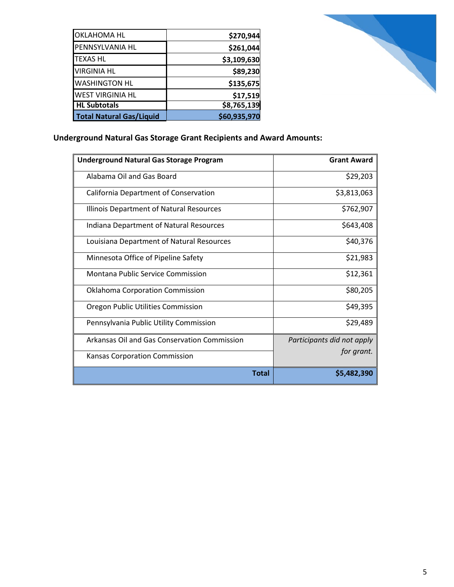| <b>OKLAHOMA HL</b>              | \$270,944    |
|---------------------------------|--------------|
| PENNSYLVANIA HL                 | \$261,044    |
| <b>TEXAS HL</b>                 | \$3,109,630  |
| <b>VIRGINIA HL</b>              | \$89,230     |
| <b>WASHINGTON HL</b>            | \$135,675    |
| <b>WEST VIRGINIA HL</b>         | \$17,519     |
| <b>HL Subtotals</b>             | \$8,765,139  |
| <b>Total Natural Gas/Liquid</b> | \$60,935,970 |



#### **Underground Natural Gas Storage Grant Recipients and Award Amounts:**

| <b>Underground Natural Gas Storage Program</b> | <b>Grant Award</b>         |
|------------------------------------------------|----------------------------|
| Alabama Oil and Gas Board                      | \$29,203                   |
| California Department of Conservation          | \$3,813,063                |
| Illinois Department of Natural Resources       | \$762,907                  |
| Indiana Department of Natural Resources        | \$643,408                  |
| Louisiana Department of Natural Resources      | \$40,376                   |
| Minnesota Office of Pipeline Safety            | \$21,983                   |
| Montana Public Service Commission              | \$12,361                   |
| <b>Oklahoma Corporation Commission</b>         | \$80,205                   |
| Oregon Public Utilities Commission             | \$49,395                   |
| Pennsylvania Public Utility Commission         | \$29,489                   |
| Arkansas Oil and Gas Conservation Commission   | Participants did not apply |
| <b>Kansas Corporation Commission</b>           | for grant.                 |
| Total                                          | \$5,482,390                |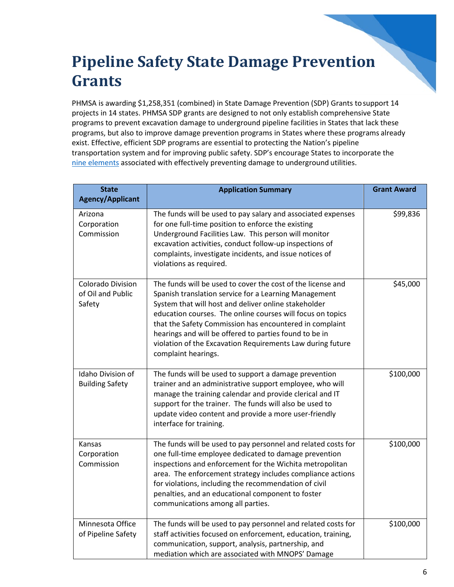#### **Pipeline Safety State Damage Prevention Grants**

PHMSA is awarding \$1,258,351 (combined) in State Damage Prevention (SDP) Grants tosupport 14 projects in 14 states. PHMSA SDP grants are designed to not only establish comprehensive State programs to prevent excavation damage to underground pipeline facilities in States that lack these programs, but also to improve damage prevention programs in States where these programs already exist. Effective, efficient SDP programs are essential to protecting the Nation's pipeline transportation system and for improving public safety. SDP's encourage States to incorporate the [nine elements](https://primis.phmsa.dot.gov/comm/DamagePrevention9Elements.htm?nocache=7289) associated with effectively preventing damage to underground utilities.

| <b>State</b><br><b>Agency/Applicant</b>                 | <b>Application Summary</b>                                                                                                                                                                                                                                                                                                                                                                                                                           | <b>Grant Award</b> |
|---------------------------------------------------------|------------------------------------------------------------------------------------------------------------------------------------------------------------------------------------------------------------------------------------------------------------------------------------------------------------------------------------------------------------------------------------------------------------------------------------------------------|--------------------|
| Arizona<br>Corporation<br>Commission                    | The funds will be used to pay salary and associated expenses<br>for one full-time position to enforce the existing<br>Underground Facilities Law. This person will monitor<br>excavation activities, conduct follow-up inspections of<br>complaints, investigate incidents, and issue notices of<br>violations as required.                                                                                                                          | \$99,836           |
| <b>Colorado Division</b><br>of Oil and Public<br>Safety | The funds will be used to cover the cost of the license and<br>Spanish translation service for a Learning Management<br>System that will host and deliver online stakeholder<br>education courses. The online courses will focus on topics<br>that the Safety Commission has encountered in complaint<br>hearings and will be offered to parties found to be in<br>violation of the Excavation Requirements Law during future<br>complaint hearings. | \$45,000           |
| Idaho Division of<br><b>Building Safety</b>             | The funds will be used to support a damage prevention<br>trainer and an administrative support employee, who will<br>manage the training calendar and provide clerical and IT<br>support for the trainer. The funds will also be used to<br>update video content and provide a more user-friendly<br>interface for training.                                                                                                                         | \$100,000          |
| Kansas<br>Corporation<br>Commission                     | The funds will be used to pay personnel and related costs for<br>one full-time employee dedicated to damage prevention<br>inspections and enforcement for the Wichita metropolitan<br>area. The enforcement strategy includes compliance actions<br>for violations, including the recommendation of civil<br>penalties, and an educational component to foster<br>communications among all parties.                                                  | \$100,000          |
| Minnesota Office<br>of Pipeline Safety                  | The funds will be used to pay personnel and related costs for<br>staff activities focused on enforcement, education, training,<br>communication, support, analysis, partnership, and<br>mediation which are associated with MNOPS' Damage                                                                                                                                                                                                            | \$100,000          |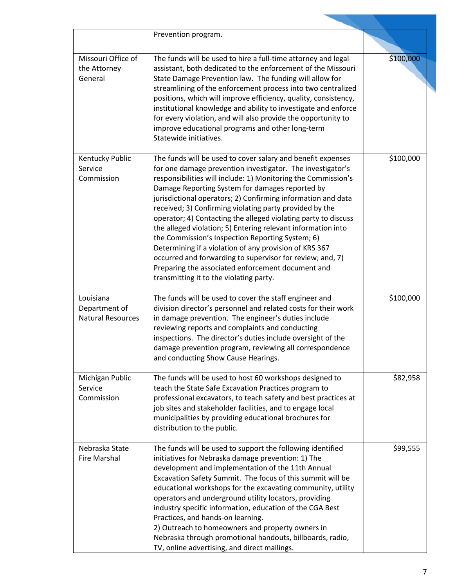|                                                        | Prevention program.                                                                                                                                                                                                                                                                                                                                                                                                                                                                                                                                                                                                                                                                                                                                                                   |           |
|--------------------------------------------------------|---------------------------------------------------------------------------------------------------------------------------------------------------------------------------------------------------------------------------------------------------------------------------------------------------------------------------------------------------------------------------------------------------------------------------------------------------------------------------------------------------------------------------------------------------------------------------------------------------------------------------------------------------------------------------------------------------------------------------------------------------------------------------------------|-----------|
| Missouri Office of<br>the Attorney<br>General          | The funds will be used to hire a full-time attorney and legal<br>assistant, both dedicated to the enforcement of the Missouri<br>State Damage Prevention law. The funding will allow for<br>streamlining of the enforcement process into two centralized<br>positions, which will improve efficiency, quality, consistency,<br>institutional knowledge and ability to investigate and enforce<br>for every violation, and will also provide the opportunity to<br>improve educational programs and other long-term<br>Statewide initiatives.                                                                                                                                                                                                                                          | \$100,000 |
| Kentucky Public<br>Service<br>Commission               | The funds will be used to cover salary and benefit expenses<br>for one damage prevention investigator. The investigator's<br>responsibilities will include: 1) Monitoring the Commission's<br>Damage Reporting System for damages reported by<br>jurisdictional operators; 2) Confirming information and data<br>received; 3) Confirming violating party provided by the<br>operator; 4) Contacting the alleged violating party to discuss<br>the alleged violation; 5) Entering relevant information into<br>the Commission's Inspection Reporting System; 6)<br>Determining if a violation of any provision of KRS 367<br>occurred and forwarding to supervisor for review; and, 7)<br>Preparing the associated enforcement document and<br>transmitting it to the violating party. | \$100,000 |
| Louisiana<br>Department of<br><b>Natural Resources</b> | The funds will be used to cover the staff engineer and<br>division director's personnel and related costs for their work<br>in damage prevention. The engineer's duties include<br>reviewing reports and complaints and conducting<br>inspections. The director's duties include oversight of the<br>damage prevention program, reviewing all correspondence<br>and conducting Show Cause Hearings.                                                                                                                                                                                                                                                                                                                                                                                   | \$100,000 |
| Michigan Public<br>Service<br>Commission               | The funds will be used to host 60 workshops designed to<br>teach the State Safe Excavation Practices program to<br>professional excavators, to teach safety and best practices at<br>job sites and stakeholder facilities, and to engage local<br>municipalities by providing educational brochures for<br>distribution to the public.                                                                                                                                                                                                                                                                                                                                                                                                                                                | \$82,958  |
| Nebraska State<br>Fire Marshal                         | The funds will be used to support the following identified<br>initiatives for Nebraska damage prevention: 1) The<br>development and implementation of the 11th Annual<br>Excavation Safety Summit. The focus of this summit will be<br>educational workshops for the excavating community, utility<br>operators and underground utility locators, providing<br>industry specific information, education of the CGA Best<br>Practices, and hands-on learning.<br>2) Outreach to homeowners and property owners in<br>Nebraska through promotional handouts, billboards, radio,<br>TV, online advertising, and direct mailings.                                                                                                                                                         | \$99,555  |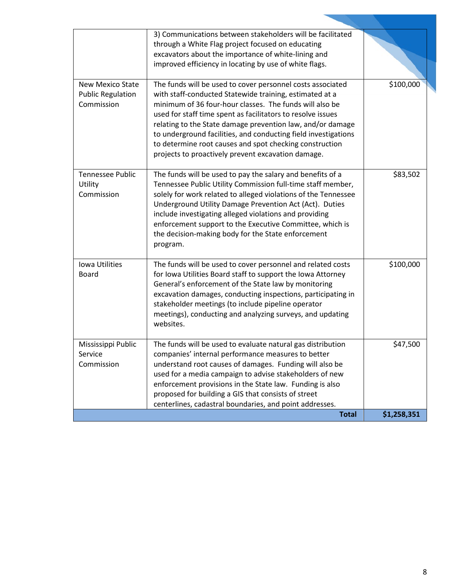|                                                                   | 3) Communications between stakeholders will be facilitated<br>through a White Flag project focused on educating<br>excavators about the importance of white-lining and<br>improved efficiency in locating by use of white flags.                                                                                                                                                                                                                                                                 |             |
|-------------------------------------------------------------------|--------------------------------------------------------------------------------------------------------------------------------------------------------------------------------------------------------------------------------------------------------------------------------------------------------------------------------------------------------------------------------------------------------------------------------------------------------------------------------------------------|-------------|
| <b>New Mexico State</b><br><b>Public Regulation</b><br>Commission | The funds will be used to cover personnel costs associated<br>with staff-conducted Statewide training, estimated at a<br>minimum of 36 four-hour classes. The funds will also be<br>used for staff time spent as facilitators to resolve issues<br>relating to the State damage prevention law, and/or damage<br>to underground facilities, and conducting field investigations<br>to determine root causes and spot checking construction<br>projects to proactively prevent excavation damage. | \$100,000   |
| <b>Tennessee Public</b><br>Utility<br>Commission                  | The funds will be used to pay the salary and benefits of a<br>Tennessee Public Utility Commission full-time staff member,<br>solely for work related to alleged violations of the Tennessee<br>Underground Utility Damage Prevention Act (Act). Duties<br>include investigating alleged violations and providing<br>enforcement support to the Executive Committee, which is<br>the decision-making body for the State enforcement<br>program.                                                   | \$83,502    |
| Iowa Utilities<br><b>Board</b>                                    | The funds will be used to cover personnel and related costs<br>for Iowa Utilities Board staff to support the Iowa Attorney<br>General's enforcement of the State law by monitoring<br>excavation damages, conducting inspections, participating in<br>stakeholder meetings (to include pipeline operator<br>meetings), conducting and analyzing surveys, and updating<br>websites.                                                                                                               | \$100,000   |
| Mississippi Public<br>Service<br>Commission                       | The funds will be used to evaluate natural gas distribution<br>companies' internal performance measures to better<br>understand root causes of damages. Funding will also be<br>used for a media campaign to advise stakeholders of new<br>enforcement provisions in the State law. Funding is also<br>proposed for building a GIS that consists of street<br>centerlines, cadastral boundaries, and point addresses.                                                                            | \$47,500    |
|                                                                   | <b>Total</b>                                                                                                                                                                                                                                                                                                                                                                                                                                                                                     | \$1,258,351 |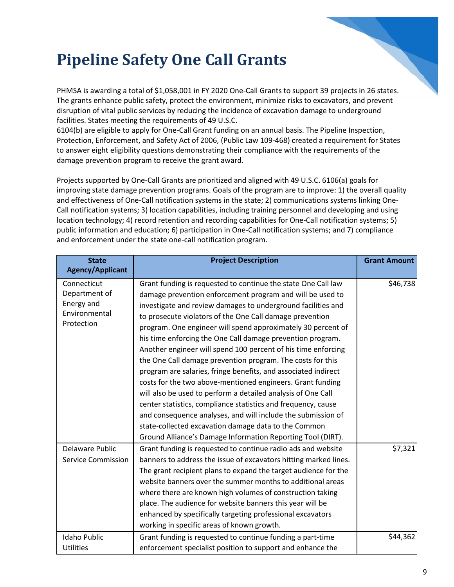#### **Pipeline Safety One Call Grants**

PHMSA is awarding a total of \$1,058,001 in FY 2020 One-Call Grants to support 39 projects in 26 states. The grants enhance public safety, protect the environment, minimize risks to excavators, and prevent disruption of vital public services by reducing the incidence of excavation damage to underground facilities. States meeting the requirements of 49 U.S.C.

6104(b) are eligible to apply for One-Call Grant funding on an annual basis. The Pipeline Inspection, Protection, Enforcement, and Safety Act of 2006, (Public Law 109-468) created a requirement for States to answer eight eligibility questions demonstrating their compliance with the requirements of the damage prevention program to receive the grant award.

Projects supported by One-Call Grants are prioritized and aligned with 49 U.S.C. 6106(a) goals for improving state damage prevention programs. Goals of the program are to improve: 1) the overall quality and effectiveness of One-Call notification systems in the state; 2) communications systems linking One-Call notification systems; 3) location capabilities, including training personnel and developing and using location technology; 4) record retention and recording capabilities for One-Call notification systems; 5) public information and education; 6) participation in One-Call notification systems; and 7) compliance and enforcement under the state one-call notification program.

| <b>State</b>                                                              | <b>Project Description</b>                                                                                                                                                                                                                                                                                                                                                                                                                                                                                                                                                                                                                                                                                                                                                                                                                                                                                                                                                  | <b>Grant Amount</b> |
|---------------------------------------------------------------------------|-----------------------------------------------------------------------------------------------------------------------------------------------------------------------------------------------------------------------------------------------------------------------------------------------------------------------------------------------------------------------------------------------------------------------------------------------------------------------------------------------------------------------------------------------------------------------------------------------------------------------------------------------------------------------------------------------------------------------------------------------------------------------------------------------------------------------------------------------------------------------------------------------------------------------------------------------------------------------------|---------------------|
| <b>Agency/Applicant</b>                                                   |                                                                                                                                                                                                                                                                                                                                                                                                                                                                                                                                                                                                                                                                                                                                                                                                                                                                                                                                                                             |                     |
| Connecticut<br>Department of<br>Energy and<br>Environmental<br>Protection | Grant funding is requested to continue the state One Call law<br>damage prevention enforcement program and will be used to<br>investigate and review damages to underground facilities and<br>to prosecute violators of the One Call damage prevention<br>program. One engineer will spend approximately 30 percent of<br>his time enforcing the One Call damage prevention program.<br>Another engineer will spend 100 percent of his time enforcing<br>the One Call damage prevention program. The costs for this<br>program are salaries, fringe benefits, and associated indirect<br>costs for the two above-mentioned engineers. Grant funding<br>will also be used to perform a detailed analysis of One Call<br>center statistics, compliance statistics and frequency, cause<br>and consequence analyses, and will include the submission of<br>state-collected excavation damage data to the Common<br>Ground Alliance's Damage Information Reporting Tool (DIRT). | \$46,738            |
| Delaware Public<br><b>Service Commission</b>                              | Grant funding is requested to continue radio ads and website<br>banners to address the issue of excavators hitting marked lines.<br>The grant recipient plans to expand the target audience for the<br>website banners over the summer months to additional areas<br>where there are known high volumes of construction taking<br>place. The audience for website banners this year will be<br>enhanced by specifically targeting professional excavators<br>working in specific areas of known growth.                                                                                                                                                                                                                                                                                                                                                                                                                                                                     | \$7,321             |
| <b>Idaho Public</b><br><b>Utilities</b>                                   | Grant funding is requested to continue funding a part-time<br>enforcement specialist position to support and enhance the                                                                                                                                                                                                                                                                                                                                                                                                                                                                                                                                                                                                                                                                                                                                                                                                                                                    | \$44,362            |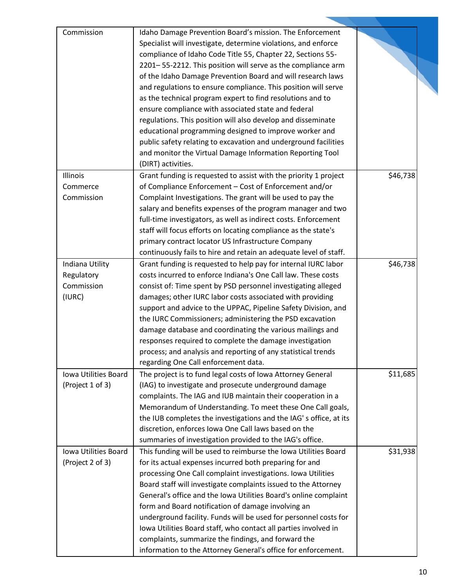| Commission             | Idaho Damage Prevention Board's mission. The Enforcement          |          |
|------------------------|-------------------------------------------------------------------|----------|
|                        | Specialist will investigate, determine violations, and enforce    |          |
|                        | compliance of Idaho Code Title 55, Chapter 22, Sections 55-       |          |
|                        | 2201-55-2212. This position will serve as the compliance arm      |          |
|                        | of the Idaho Damage Prevention Board and will research laws       |          |
|                        | and regulations to ensure compliance. This position will serve    |          |
|                        | as the technical program expert to find resolutions and to        |          |
|                        | ensure compliance with associated state and federal               |          |
|                        | regulations. This position will also develop and disseminate      |          |
|                        | educational programming designed to improve worker and            |          |
|                        | public safety relating to excavation and underground facilities   |          |
|                        | and monitor the Virtual Damage Information Reporting Tool         |          |
|                        | (DIRT) activities.                                                |          |
| Illinois               | Grant funding is requested to assist with the priority 1 project  | \$46,738 |
|                        | of Compliance Enforcement - Cost of Enforcement and/or            |          |
| Commerce<br>Commission | Complaint Investigations. The grant will be used to pay the       |          |
|                        |                                                                   |          |
|                        | salary and benefits expenses of the program manager and two       |          |
|                        | full-time investigators, as well as indirect costs. Enforcement   |          |
|                        | staff will focus efforts on locating compliance as the state's    |          |
|                        | primary contract locator US Infrastructure Company                |          |
|                        | continuously fails to hire and retain an adequate level of staff. |          |
| Indiana Utility        | Grant funding is requested to help pay for internal IURC labor    | \$46,738 |
| Regulatory             | costs incurred to enforce Indiana's One Call law. These costs     |          |
| Commission             | consist of: Time spent by PSD personnel investigating alleged     |          |
| (IURC)                 | damages; other IURC labor costs associated with providing         |          |
|                        | support and advice to the UPPAC, Pipeline Safety Division, and    |          |
|                        | the IURC Commissioners; administering the PSD excavation          |          |
|                        | damage database and coordinating the various mailings and         |          |
|                        | responses required to complete the damage investigation           |          |
|                        | process; and analysis and reporting of any statistical trends     |          |
|                        | regarding One Call enforcement data.                              |          |
| Iowa Utilities Board   | The project is to fund legal costs of Iowa Attorney General       | \$11,685 |
| (Project 1 of 3)       | (IAG) to investigate and prosecute underground damage             |          |
|                        | complaints. The IAG and IUB maintain their cooperation in a       |          |
|                        | Memorandum of Understanding. To meet these One Call goals,        |          |
|                        | the IUB completes the investigations and the IAG's office, at its |          |
|                        | discretion, enforces Iowa One Call laws based on the              |          |
|                        | summaries of investigation provided to the IAG's office.          |          |
| Iowa Utilities Board   | This funding will be used to reimburse the Iowa Utilities Board   | \$31,938 |
| (Project 2 of 3)       | for its actual expenses incurred both preparing for and           |          |
|                        | processing One Call complaint investigations. Iowa Utilities      |          |
|                        | Board staff will investigate complaints issued to the Attorney    |          |
|                        | General's office and the Iowa Utilities Board's online complaint  |          |
|                        | form and Board notification of damage involving an                |          |
|                        |                                                                   |          |
|                        | underground facility. Funds will be used for personnel costs for  |          |
|                        | Iowa Utilities Board staff, who contact all parties involved in   |          |
|                        | complaints, summarize the findings, and forward the               |          |
|                        | information to the Attorney General's office for enforcement.     |          |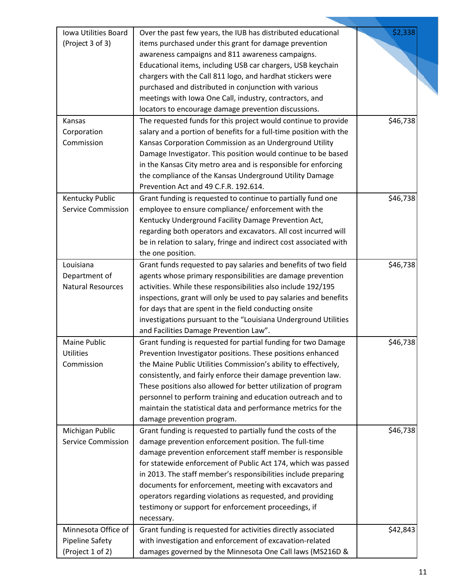| Iowa Utilities Board      | Over the past few years, the IUB has distributed educational       | \$2,338  |
|---------------------------|--------------------------------------------------------------------|----------|
| (Project 3 of 3)          | items purchased under this grant for damage prevention             |          |
|                           | awareness campaigns and 811 awareness campaigns.                   |          |
|                           | Educational items, including USB car chargers, USB keychain        |          |
|                           | chargers with the Call 811 logo, and hardhat stickers were         |          |
|                           | purchased and distributed in conjunction with various              |          |
|                           | meetings with Iowa One Call, industry, contractors, and            |          |
|                           | locators to encourage damage prevention discussions.               |          |
| Kansas                    | The requested funds for this project would continue to provide     | \$46,738 |
| Corporation               | salary and a portion of benefits for a full-time position with the |          |
| Commission                | Kansas Corporation Commission as an Underground Utility            |          |
|                           | Damage Investigator. This position would continue to be based      |          |
|                           | in the Kansas City metro area and is responsible for enforcing     |          |
|                           | the compliance of the Kansas Underground Utility Damage            |          |
|                           | Prevention Act and 49 C.F.R. 192.614.                              |          |
|                           |                                                                    |          |
| Kentucky Public           | Grant funding is requested to continue to partially fund one       | \$46,738 |
| <b>Service Commission</b> | employee to ensure compliance/ enforcement with the                |          |
|                           | Kentucky Underground Facility Damage Prevention Act,               |          |
|                           | regarding both operators and excavators. All cost incurred will    |          |
|                           | be in relation to salary, fringe and indirect cost associated with |          |
|                           | the one position.                                                  |          |
| Louisiana                 | Grant funds requested to pay salaries and benefits of two field    | \$46,738 |
| Department of             | agents whose primary responsibilities are damage prevention        |          |
| <b>Natural Resources</b>  | activities. While these responsibilities also include 192/195      |          |
|                           | inspections, grant will only be used to pay salaries and benefits  |          |
|                           | for days that are spent in the field conducting onsite             |          |
|                           | investigations pursuant to the "Louisiana Underground Utilities    |          |
|                           | and Facilities Damage Prevention Law".                             |          |
| Maine Public              | Grant funding is requested for partial funding for two Damage      | \$46,738 |
| <b>Utilities</b>          | Prevention Investigator positions. These positions enhanced        |          |
| Commission                | the Maine Public Utilities Commission's ability to effectively,    |          |
|                           | consistently, and fairly enforce their damage prevention law.      |          |
|                           | These positions also allowed for better utilization of program     |          |
|                           | personnel to perform training and education outreach and to        |          |
|                           | maintain the statistical data and performance metrics for the      |          |
|                           | damage prevention program.                                         |          |
| Michigan Public           | Grant funding is requested to partially fund the costs of the      | \$46,738 |
| <b>Service Commission</b> | damage prevention enforcement position. The full-time              |          |
|                           | damage prevention enforcement staff member is responsible          |          |
|                           | for statewide enforcement of Public Act 174, which was passed      |          |
|                           | in 2013. The staff member's responsibilities include preparing     |          |
|                           |                                                                    |          |
|                           | documents for enforcement, meeting with excavators and             |          |
|                           | operators regarding violations as requested, and providing         |          |
|                           | testimony or support for enforcement proceedings, if               |          |
|                           | necessary.                                                         |          |
| Minnesota Office of       | Grant funding is requested for activities directly associated      | \$42,843 |
| <b>Pipeline Safety</b>    | with investigation and enforcement of excavation-related           |          |
| (Project 1 of 2)          | damages governed by the Minnesota One Call laws (MS216D &          |          |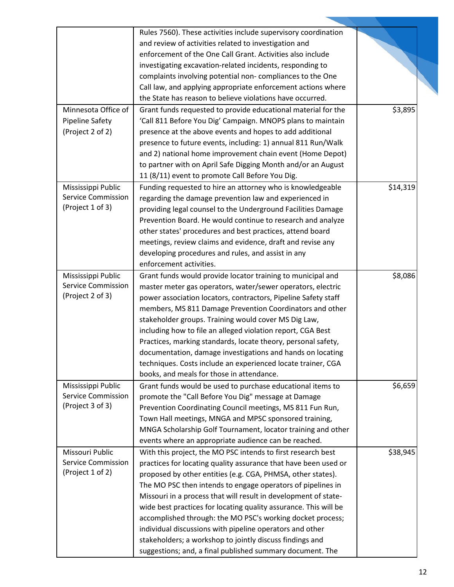|                           | Rules 7560). These activities include supervisory coordination   |          |
|---------------------------|------------------------------------------------------------------|----------|
|                           | and review of activities related to investigation and            |          |
|                           | enforcement of the One Call Grant. Activities also include       |          |
|                           | investigating excavation-related incidents, responding to        |          |
|                           | complaints involving potential non-compliances to the One        |          |
|                           | Call law, and applying appropriate enforcement actions where     |          |
|                           | the State has reason to believe violations have occurred.        |          |
| Minnesota Office of       | Grant funds requested to provide educational material for the    | \$3,895  |
| <b>Pipeline Safety</b>    | 'Call 811 Before You Dig' Campaign. MNOPS plans to maintain      |          |
| (Project 2 of 2)          | presence at the above events and hopes to add additional         |          |
|                           | presence to future events, including: 1) annual 811 Run/Walk     |          |
|                           | and 2) national home improvement chain event (Home Depot)        |          |
|                           | to partner with on April Safe Digging Month and/or an August     |          |
|                           | 11 (8/11) event to promote Call Before You Dig.                  |          |
| Mississippi Public        | Funding requested to hire an attorney who is knowledgeable       | \$14,319 |
| <b>Service Commission</b> | regarding the damage prevention law and experienced in           |          |
| (Project 1 of 3)          | providing legal counsel to the Underground Facilities Damage     |          |
|                           | Prevention Board. He would continue to research and analyze      |          |
|                           | other states' procedures and best practices, attend board        |          |
|                           |                                                                  |          |
|                           | meetings, review claims and evidence, draft and revise any       |          |
|                           | developing procedures and rules, and assist in any               |          |
|                           | enforcement activities.                                          |          |
| Mississippi Public        | Grant funds would provide locator training to municipal and      | \$8,086  |
| <b>Service Commission</b> | master meter gas operators, water/sewer operators, electric      |          |
| (Project 2 of 3)          | power association locators, contractors, Pipeline Safety staff   |          |
|                           | members, MS 811 Damage Prevention Coordinators and other         |          |
|                           | stakeholder groups. Training would cover MS Dig Law,             |          |
|                           | including how to file an alleged violation report, CGA Best      |          |
|                           | Practices, marking standards, locate theory, personal safety,    |          |
|                           | documentation, damage investigations and hands on locating       |          |
|                           | techniques. Costs include an experienced locate trainer, CGA     |          |
|                           | books, and meals for those in attendance.                        |          |
| Mississippi Public        | Grant funds would be used to purchase educational items to       | \$6,659  |
| <b>Service Commission</b> | promote the "Call Before You Dig" message at Damage              |          |
| (Project 3 of 3)          | Prevention Coordinating Council meetings, MS 811 Fun Run,        |          |
|                           | Town Hall meetings, MNGA and MPSC sponsored training,            |          |
|                           | MNGA Scholarship Golf Tournament, locator training and other     |          |
|                           | events where an appropriate audience can be reached.             |          |
| Missouri Public           | With this project, the MO PSC intends to first research best     | \$38,945 |
| <b>Service Commission</b> | practices for locating quality assurance that have been used or  |          |
| (Project 1 of 2)          | proposed by other entities (e.g. CGA, PHMSA, other states).      |          |
|                           | The MO PSC then intends to engage operators of pipelines in      |          |
|                           | Missouri in a process that will result in development of state-  |          |
|                           | wide best practices for locating quality assurance. This will be |          |
|                           | accomplished through: the MO PSC's working docket process;       |          |
|                           | individual discussions with pipeline operators and other         |          |
|                           | stakeholders; a workshop to jointly discuss findings and         |          |
|                           | suggestions; and, a final published summary document. The        |          |
|                           |                                                                  |          |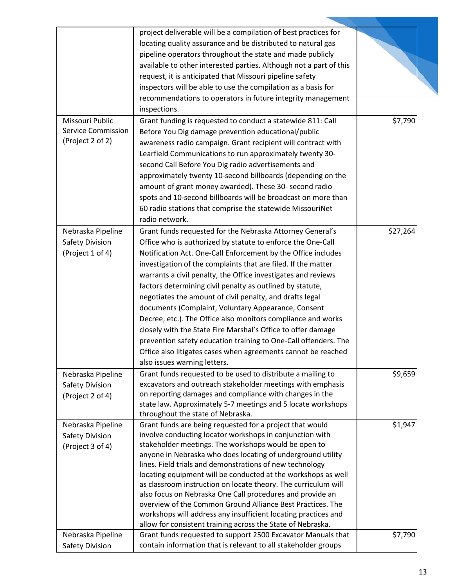|                           | project deliverable will be a compilation of best practices for    |          |
|---------------------------|--------------------------------------------------------------------|----------|
|                           | locating quality assurance and be distributed to natural gas       |          |
|                           | pipeline operators throughout the state and made publicly          |          |
|                           | available to other interested parties. Although not a part of this |          |
|                           | request, it is anticipated that Missouri pipeline safety           |          |
|                           | inspectors will be able to use the compilation as a basis for      |          |
|                           | recommendations to operators in future integrity management        |          |
|                           | inspections.                                                       |          |
| Missouri Public           |                                                                    | \$7,790  |
| <b>Service Commission</b> | Grant funding is requested to conduct a statewide 811: Call        |          |
| (Project 2 of 2)          | Before You Dig damage prevention educational/public                |          |
|                           | awareness radio campaign. Grant recipient will contract with       |          |
|                           | Learfield Communications to run approximately twenty 30-           |          |
|                           | second Call Before You Dig radio advertisements and                |          |
|                           | approximately twenty 10-second billboards (depending on the        |          |
|                           | amount of grant money awarded). These 30- second radio             |          |
|                           | spots and 10-second billboards will be broadcast on more than      |          |
|                           | 60 radio stations that comprise the statewide MissouriNet          |          |
|                           | radio network.                                                     |          |
| Nebraska Pipeline         | Grant funds requested for the Nebraska Attorney General's          | \$27,264 |
| Safety Division           | Office who is authorized by statute to enforce the One-Call        |          |
| (Project 1 of 4)          | Notification Act. One-Call Enforcement by the Office includes      |          |
|                           | investigation of the complaints that are filed. If the matter      |          |
|                           | warrants a civil penalty, the Office investigates and reviews      |          |
|                           |                                                                    |          |
|                           | factors determining civil penalty as outlined by statute,          |          |
|                           | negotiates the amount of civil penalty, and drafts legal           |          |
|                           | documents (Complaint, Voluntary Appearance, Consent                |          |
|                           | Decree, etc.). The Office also monitors compliance and works       |          |
|                           | closely with the State Fire Marshal's Office to offer damage       |          |
|                           | prevention safety education training to One-Call offenders. The    |          |
|                           | Office also litigates cases when agreements cannot be reached      |          |
|                           | also issues warning letters.                                       |          |
| Nebraska Pipeline         | Grant funds requested to be used to distribute a mailing to        | \$9,659  |
| Safety Division           | excavators and outreach stakeholder meetings with emphasis         |          |
| (Project 2 of 4)          | on reporting damages and compliance with changes in the            |          |
|                           | state law. Approximately 5-7 meetings and 5 locate workshops       |          |
|                           | throughout the state of Nebraska.                                  |          |
| Nebraska Pipeline         | Grant funds are being requested for a project that would           | \$1,947  |
| <b>Safety Division</b>    | involve conducting locator workshops in conjunction with           |          |
| (Project 3 of 4)          | stakeholder meetings. The workshops would be open to               |          |
|                           | anyone in Nebraska who does locating of underground utility        |          |
|                           | lines. Field trials and demonstrations of new technology           |          |
|                           | locating equipment will be conducted at the workshops as well      |          |
|                           | as classroom instruction on locate theory. The curriculum will     |          |
|                           | also focus on Nebraska One Call procedures and provide an          |          |
|                           | overview of the Common Ground Alliance Best Practices. The         |          |
|                           | workshops will address any insufficient locating practices and     |          |
|                           | allow for consistent training across the State of Nebraska.        |          |
| Nebraska Pipeline         | Grant funds requested to support 2500 Excavator Manuals that       | \$7,790  |
| <b>Safety Division</b>    | contain information that is relevant to all stakeholder groups     |          |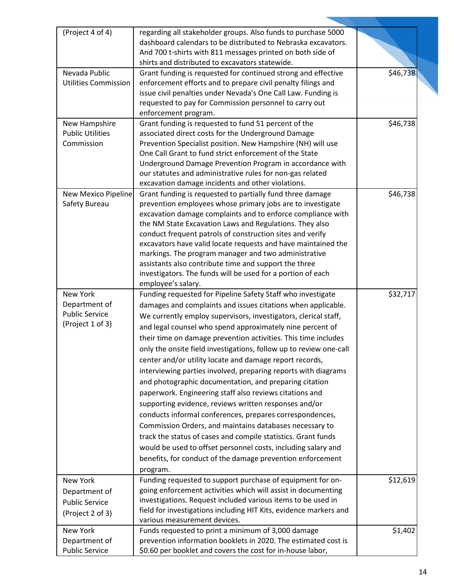| (Project 4 of 4)                      | regarding all stakeholder groups. Also funds to purchase 5000                                                         |          |
|---------------------------------------|-----------------------------------------------------------------------------------------------------------------------|----------|
|                                       | dashboard calendars to be distributed to Nebraska excavators.                                                         |          |
|                                       | And 700 t-shirts with 811 messages printed on both side of                                                            |          |
|                                       | shirts and distributed to excavators statewide.                                                                       |          |
| Nevada Public                         | Grant funding is requested for continued strong and effective                                                         | \$46,738 |
| <b>Utilities Commission</b>           | enforcement efforts and to prepare civil penalty filings and                                                          |          |
|                                       | issue civil penalties under Nevada's One Call Law. Funding is                                                         |          |
|                                       | requested to pay for Commission personnel to carry out                                                                |          |
|                                       | enforcement program.                                                                                                  |          |
| New Hampshire                         | Grant funding is requested to fund 51 percent of the                                                                  | \$46,738 |
| <b>Public Utilities</b><br>Commission | associated direct costs for the Underground Damage                                                                    |          |
|                                       | Prevention Specialist position. New Hampshire (NH) will use<br>One Call Grant to fund strict enforcement of the State |          |
|                                       | Underground Damage Prevention Program in accordance with                                                              |          |
|                                       | our statutes and administrative rules for non-gas related                                                             |          |
|                                       | excavation damage incidents and other violations.                                                                     |          |
| New Mexico Pipeline                   | Grant funding is requested to partially fund three damage                                                             | \$46,738 |
| Safety Bureau                         | prevention employees whose primary jobs are to investigate                                                            |          |
|                                       | excavation damage complaints and to enforce compliance with                                                           |          |
|                                       | the NM State Excavation Laws and Regulations. They also                                                               |          |
|                                       | conduct frequent patrols of construction sites and verify                                                             |          |
|                                       | excavators have valid locate requests and have maintained the                                                         |          |
|                                       | markings. The program manager and two administrative                                                                  |          |
|                                       | assistants also contribute time and support the three                                                                 |          |
|                                       | investigators. The funds will be used for a portion of each                                                           |          |
|                                       | employee's salary.                                                                                                    |          |
| <b>New York</b>                       | Funding requested for Pipeline Safety Staff who investigate                                                           | \$32,717 |
| Department of                         | damages and complaints and issues citations when applicable.                                                          |          |
| <b>Public Service</b>                 | We currently employ supervisors, investigators, clerical staff,                                                       |          |
| (Project 1 of 3)                      | and legal counsel who spend approximately nine percent of                                                             |          |
|                                       | their time on damage prevention activities. This time includes                                                        |          |
|                                       | only the onsite field investigations, follow up to review one-call                                                    |          |
|                                       | center and/or utility locate and damage report records,                                                               |          |
|                                       | interviewing parties involved, preparing reports with diagrams                                                        |          |
|                                       | and photographic documentation, and preparing citation                                                                |          |
|                                       | paperwork. Engineering staff also reviews citations and                                                               |          |
|                                       | supporting evidence, reviews written responses and/or                                                                 |          |
|                                       |                                                                                                                       |          |
|                                       | conducts informal conferences, prepares correspondences,                                                              |          |
|                                       | Commission Orders, and maintains databases necessary to                                                               |          |
|                                       | track the status of cases and compile statistics. Grant funds                                                         |          |
|                                       | would be used to offset personnel costs, including salary and                                                         |          |
|                                       | benefits, for conduct of the damage prevention enforcement                                                            |          |
|                                       | program.                                                                                                              |          |
| New York                              | Funding requested to support purchase of equipment for on-                                                            | \$12,619 |
| Department of                         | going enforcement activities which will assist in documenting                                                         |          |
| <b>Public Service</b>                 | investigations. Request included various items to be used in                                                          |          |
| (Project 2 of 3)                      | field for investigations including HIT Kits, evidence markers and                                                     |          |
|                                       | various measurement devices.                                                                                          |          |
| New York                              | Funds requested to print a minimum of 3,000 damage                                                                    | \$1,402  |
| Department of                         | prevention information booklets in 2020. The estimated cost is                                                        |          |
| <b>Public Service</b>                 | \$0.60 per booklet and covers the cost for in-house labor,                                                            |          |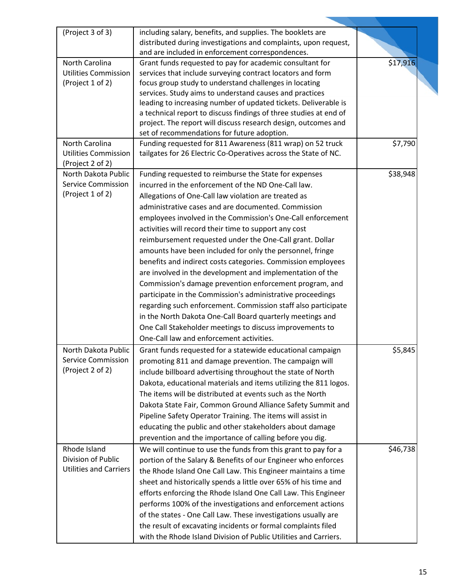| (Project 3 of 3)                        | including salary, benefits, and supplies. The booklets are                                                   |          |
|-----------------------------------------|--------------------------------------------------------------------------------------------------------------|----------|
|                                         | distributed during investigations and complaints, upon request,                                              |          |
|                                         | and are included in enforcement correspondences.                                                             |          |
| North Carolina                          | Grant funds requested to pay for academic consultant for                                                     | \$17,916 |
| <b>Utilities Commission</b>             | services that include surveying contract locators and form                                                   |          |
| (Project 1 of 2)                        | focus group study to understand challenges in locating                                                       |          |
|                                         | services. Study aims to understand causes and practices                                                      |          |
|                                         | leading to increasing number of updated tickets. Deliverable is                                              |          |
|                                         | a technical report to discuss findings of three studies at end of                                            |          |
|                                         | project. The report will discuss research design, outcomes and                                               |          |
|                                         | set of recommendations for future adoption.                                                                  |          |
| North Carolina                          | Funding requested for 811 Awareness (811 wrap) on 52 truck                                                   | \$7,790  |
| <b>Utilities Commission</b>             | tailgates for 26 Electric Co-Operatives across the State of NC.                                              |          |
| (Project 2 of 2)<br>North Dakota Public |                                                                                                              | \$38,948 |
| <b>Service Commission</b>               | Funding requested to reimburse the State for expenses<br>incurred in the enforcement of the ND One-Call law. |          |
| (Project 1 of 2)                        |                                                                                                              |          |
|                                         | Allegations of One-Call law violation are treated as                                                         |          |
|                                         | administrative cases and are documented. Commission                                                          |          |
|                                         | employees involved in the Commission's One-Call enforcement                                                  |          |
|                                         | activities will record their time to support any cost                                                        |          |
|                                         | reimbursement requested under the One-Call grant. Dollar                                                     |          |
|                                         | amounts have been included for only the personnel, fringe                                                    |          |
|                                         | benefits and indirect costs categories. Commission employees                                                 |          |
|                                         | are involved in the development and implementation of the                                                    |          |
|                                         | Commission's damage prevention enforcement program, and                                                      |          |
|                                         | participate in the Commission's administrative proceedings                                                   |          |
|                                         | regarding such enforcement. Commission staff also participate                                                |          |
|                                         | in the North Dakota One-Call Board quarterly meetings and                                                    |          |
|                                         | One Call Stakeholder meetings to discuss improvements to                                                     |          |
|                                         | One-Call law and enforcement activities.                                                                     |          |
| North Dakota Public                     | Grant funds requested for a statewide educational campaign                                                   | \$5,845  |
| <b>Service Commission</b>               | promoting 811 and damage prevention. The campaign will                                                       |          |
| (Project 2 of 2)                        | include billboard advertising throughout the state of North                                                  |          |
|                                         | Dakota, educational materials and items utilizing the 811 logos.                                             |          |
|                                         | The items will be distributed at events such as the North                                                    |          |
|                                         | Dakota State Fair, Common Ground Alliance Safety Summit and                                                  |          |
|                                         |                                                                                                              |          |
|                                         | Pipeline Safety Operator Training. The items will assist in                                                  |          |
|                                         | educating the public and other stakeholders about damage                                                     |          |
|                                         | prevention and the importance of calling before you dig.                                                     |          |
| Rhode Island                            | We will continue to use the funds from this grant to pay for a                                               | \$46,738 |
| Division of Public                      | portion of the Salary & Benefits of our Engineer who enforces                                                |          |
| <b>Utilities and Carriers</b>           | the Rhode Island One Call Law. This Engineer maintains a time                                                |          |
|                                         | sheet and historically spends a little over 65% of his time and                                              |          |
|                                         | efforts enforcing the Rhode Island One Call Law. This Engineer                                               |          |
|                                         | performs 100% of the investigations and enforcement actions                                                  |          |
|                                         | of the states - One Call Law. These investigations usually are                                               |          |
|                                         | the result of excavating incidents or formal complaints filed                                                |          |
|                                         | with the Rhode Island Division of Public Utilities and Carriers.                                             |          |
|                                         |                                                                                                              |          |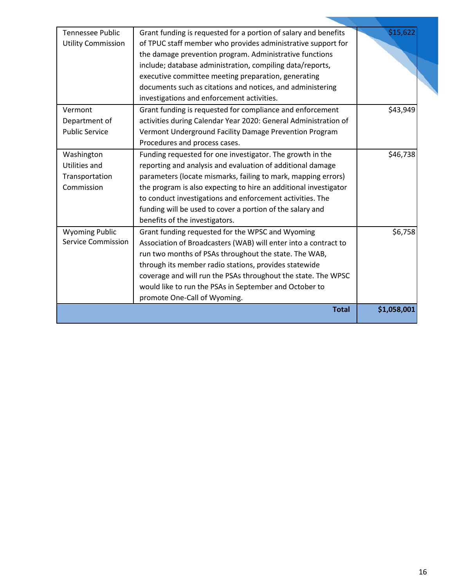| <b>Tennessee Public</b>   | Grant funding is requested for a portion of salary and benefits  | \$15,622    |
|---------------------------|------------------------------------------------------------------|-------------|
|                           |                                                                  |             |
| <b>Utility Commission</b> | of TPUC staff member who provides administrative support for     |             |
|                           | the damage prevention program. Administrative functions          |             |
|                           | include; database administration, compiling data/reports,        |             |
|                           | executive committee meeting preparation, generating              |             |
|                           | documents such as citations and notices, and administering       |             |
|                           | investigations and enforcement activities.                       |             |
| Vermont                   | Grant funding is requested for compliance and enforcement        | \$43,949    |
| Department of             | activities during Calendar Year 2020: General Administration of  |             |
| <b>Public Service</b>     | Vermont Underground Facility Damage Prevention Program           |             |
|                           | Procedures and process cases.                                    |             |
| Washington                | Funding requested for one investigator. The growth in the        | \$46,738    |
| <b>Utilities and</b>      | reporting and analysis and evaluation of additional damage       |             |
| Transportation            | parameters (locate mismarks, failing to mark, mapping errors)    |             |
| Commission                | the program is also expecting to hire an additional investigator |             |
|                           | to conduct investigations and enforcement activities. The        |             |
|                           | funding will be used to cover a portion of the salary and        |             |
|                           | benefits of the investigators.                                   |             |
| <b>Wyoming Public</b>     | Grant funding requested for the WPSC and Wyoming                 | \$6,758     |
| <b>Service Commission</b> | Association of Broadcasters (WAB) will enter into a contract to  |             |
|                           | run two months of PSAs throughout the state. The WAB,            |             |
|                           | through its member radio stations, provides statewide            |             |
|                           | coverage and will run the PSAs throughout the state. The WPSC    |             |
|                           |                                                                  |             |
|                           | would like to run the PSAs in September and October to           |             |
|                           | promote One-Call of Wyoming.                                     |             |
|                           | <b>Total</b>                                                     | \$1,058,001 |
|                           |                                                                  |             |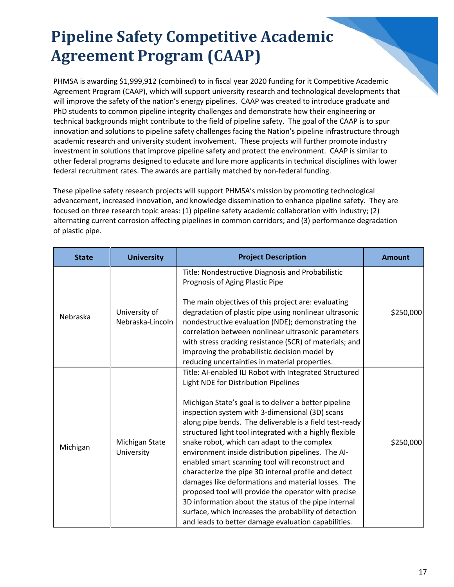#### **Pipeline Safety Competitive Academic Agreement Program (CAAP)**

PHMSA is awarding \$1,999,912 (combined) to in fiscal year 2020 funding for it Competitive Academic Agreement Program (CAAP), which will support university research and technological developments that will improve the safety of the nation's energy pipelines. CAAP was created to introduce graduate and PhD students to common pipeline integrity challenges and demonstrate how their engineering or technical backgrounds might contribute to the field of pipeline safety. The goal of the CAAP is to spur innovation and solutions to pipeline safety challenges facing the Nation's pipeline infrastructure through academic research and university student involvement. These projects will further promote industry investment in solutions that improve pipeline safety and protect the environment. CAAP is similar to other federal programs designed to educate and lure more applicants in technical disciplines with lower federal recruitment rates. The awards are partially matched by non-federal funding.

These pipeline safety research projects will support PHMSA's mission by promoting technological advancement, increased innovation, and knowledge dissemination to enhance pipeline safety. They are focused on three research topic areas: (1) pipeline safety academic collaboration with industry; (2) alternating current corrosion affecting pipelines in common corridors; and (3) performance degradation of plastic pipe.

| <b>State</b> | <b>University</b>                 | <b>Project Description</b>                                                                                                                                                                                                                                                                                                                                                                                                                                                                                                                                                                                                                                                                                                                                                                                                              | <b>Amount</b> |
|--------------|-----------------------------------|-----------------------------------------------------------------------------------------------------------------------------------------------------------------------------------------------------------------------------------------------------------------------------------------------------------------------------------------------------------------------------------------------------------------------------------------------------------------------------------------------------------------------------------------------------------------------------------------------------------------------------------------------------------------------------------------------------------------------------------------------------------------------------------------------------------------------------------------|---------------|
|              |                                   | Title: Nondestructive Diagnosis and Probabilistic<br>Prognosis of Aging Plastic Pipe                                                                                                                                                                                                                                                                                                                                                                                                                                                                                                                                                                                                                                                                                                                                                    |               |
| Nebraska     | University of<br>Nebraska-Lincoln | The main objectives of this project are: evaluating<br>degradation of plastic pipe using nonlinear ultrasonic<br>nondestructive evaluation (NDE); demonstrating the<br>correlation between nonlinear ultrasonic parameters<br>with stress cracking resistance (SCR) of materials; and<br>improving the probabilistic decision model by<br>reducing uncertainties in material properties.                                                                                                                                                                                                                                                                                                                                                                                                                                                | \$250,000     |
| Michigan     | Michigan State<br>University      | Title: AI-enabled ILI Robot with Integrated Structured<br>Light NDE for Distribution Pipelines<br>Michigan State's goal is to deliver a better pipeline<br>inspection system with 3-dimensional (3D) scans<br>along pipe bends. The deliverable is a field test-ready<br>structured light tool integrated with a highly flexible<br>snake robot, which can adapt to the complex<br>environment inside distribution pipelines. The AI-<br>enabled smart scanning tool will reconstruct and<br>characterize the pipe 3D internal profile and detect<br>damages like deformations and material losses. The<br>proposed tool will provide the operator with precise<br>3D information about the status of the pipe internal<br>surface, which increases the probability of detection<br>and leads to better damage evaluation capabilities. | \$250,000     |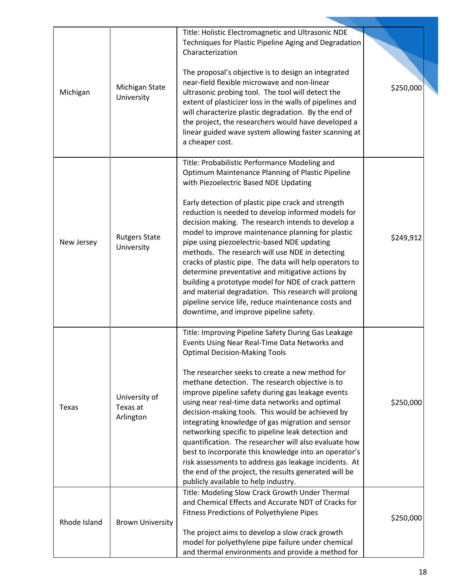|              |                         | Title: Holistic Electromagnetic and Ultrasonic NDE                                                               |           |
|--------------|-------------------------|------------------------------------------------------------------------------------------------------------------|-----------|
|              |                         | Techniques for Plastic Pipeline Aging and Degradation                                                            |           |
|              |                         | Characterization                                                                                                 |           |
|              |                         |                                                                                                                  |           |
|              |                         | The proposal's objective is to design an integrated                                                              |           |
|              | Michigan State          | near-field flexible microwave and non-linear                                                                     | \$250,000 |
| Michigan     | University              | ultrasonic probing tool. The tool will detect the                                                                |           |
|              |                         | extent of plasticizer loss in the walls of pipelines and<br>will characterize plastic degradation. By the end of |           |
|              |                         | the project, the researchers would have developed a                                                              |           |
|              |                         | linear guided wave system allowing faster scanning at                                                            |           |
|              |                         | a cheaper cost.                                                                                                  |           |
|              |                         |                                                                                                                  |           |
|              |                         | Title: Probabilistic Performance Modeling and                                                                    |           |
|              |                         | Optimum Maintenance Planning of Plastic Pipeline                                                                 |           |
|              |                         | with Piezoelectric Based NDE Updating                                                                            |           |
|              |                         | Early detection of plastic pipe crack and strength                                                               |           |
|              |                         | reduction is needed to develop informed models for                                                               |           |
|              |                         | decision making. The research intends to develop a                                                               |           |
|              | <b>Rutgers State</b>    | model to improve maintenance planning for plastic                                                                | \$249,912 |
| New Jersey   | University              | pipe using piezoelectric-based NDE updating                                                                      |           |
|              |                         | methods. The research will use NDE in detecting                                                                  |           |
|              |                         | cracks of plastic pipe. The data will help operators to<br>determine preventative and mitigative actions by      |           |
|              |                         | building a prototype model for NDE of crack pattern                                                              |           |
|              |                         | and material degradation. This research will prolong                                                             |           |
|              |                         | pipeline service life, reduce maintenance costs and                                                              |           |
|              |                         | downtime, and improve pipeline safety.                                                                           |           |
|              |                         |                                                                                                                  |           |
|              |                         | Title: Improving Pipeline Safety During Gas Leakage<br>Events Using Near Real-Time Data Networks and             |           |
|              |                         | <b>Optimal Decision-Making Tools</b>                                                                             |           |
|              |                         |                                                                                                                  |           |
|              |                         | The researcher seeks to create a new method for                                                                  |           |
|              |                         | methane detection. The research objective is to                                                                  |           |
|              | University of           | improve pipeline safety during gas leakage events                                                                |           |
| Texas        | Texas at                | using near real-time data networks and optimal<br>decision-making tools. This would be achieved by               | \$250,000 |
|              | Arlington               | integrating knowledge of gas migration and sensor                                                                |           |
|              |                         | networking specific to pipeline leak detection and                                                               |           |
|              |                         | quantification. The researcher will also evaluate how                                                            |           |
|              |                         | best to incorporate this knowledge into an operator's                                                            |           |
|              |                         | risk assessments to address gas leakage incidents. At                                                            |           |
|              |                         | the end of the project, the results generated will be                                                            |           |
|              |                         | publicly available to help industry.                                                                             |           |
|              |                         | Title: Modeling Slow Crack Growth Under Thermal<br>and Chemical Effects and Accurate NDT of Cracks for           |           |
|              |                         | Fitness Predictions of Polyethylene Pipes                                                                        |           |
| Rhode Island | <b>Brown University</b> |                                                                                                                  | \$250,000 |
|              |                         | The project aims to develop a slow crack growth                                                                  |           |
|              |                         | model for polyethylene pipe failure under chemical                                                               |           |
|              |                         | and thermal environments and provide a method for                                                                |           |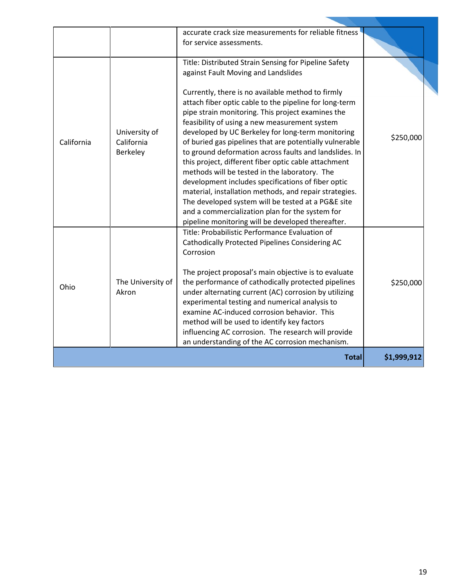| California | University of<br>California<br>Berkeley | accurate crack size measurements for reliable fitness<br>for service assessments.<br>Title: Distributed Strain Sensing for Pipeline Safety<br>against Fault Moving and Landslides<br>Currently, there is no available method to firmly<br>attach fiber optic cable to the pipeline for long-term<br>pipe strain monitoring. This project examines the<br>feasibility of using a new measurement system<br>developed by UC Berkeley for long-term monitoring<br>of buried gas pipelines that are potentially vulnerable<br>to ground deformation across faults and landslides. In<br>this project, different fiber optic cable attachment<br>methods will be tested in the laboratory. The<br>development includes specifications of fiber optic<br>material, installation methods, and repair strategies.<br>The developed system will be tested at a PG&E site<br>and a commercialization plan for the system for | \$250,000   |
|------------|-----------------------------------------|--------------------------------------------------------------------------------------------------------------------------------------------------------------------------------------------------------------------------------------------------------------------------------------------------------------------------------------------------------------------------------------------------------------------------------------------------------------------------------------------------------------------------------------------------------------------------------------------------------------------------------------------------------------------------------------------------------------------------------------------------------------------------------------------------------------------------------------------------------------------------------------------------------------------|-------------|
| Ohio       | The University of<br>Akron              | pipeline monitoring will be developed thereafter.<br>Title: Probabilistic Performance Evaluation of<br><b>Cathodically Protected Pipelines Considering AC</b><br>Corrosion<br>The project proposal's main objective is to evaluate<br>the performance of cathodically protected pipelines<br>under alternating current (AC) corrosion by utilizing<br>experimental testing and numerical analysis to<br>examine AC-induced corrosion behavior. This<br>method will be used to identify key factors<br>influencing AC corrosion. The research will provide<br>an understanding of the AC corrosion mechanism.                                                                                                                                                                                                                                                                                                       | \$250,000   |
|            |                                         | <b>Total</b>                                                                                                                                                                                                                                                                                                                                                                                                                                                                                                                                                                                                                                                                                                                                                                                                                                                                                                       | \$1,999,912 |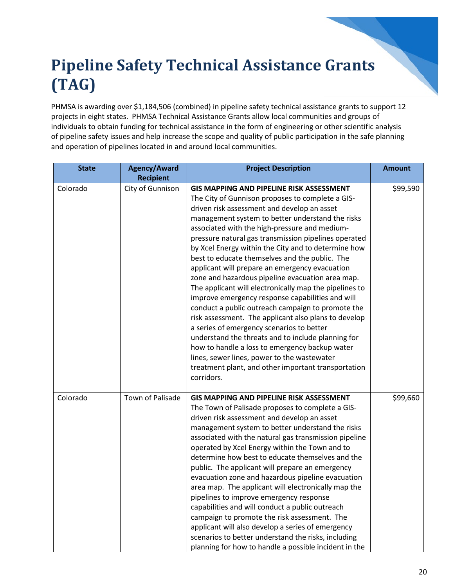## **Pipeline Safety Technical Assistance Grants (TAG)**

PHMSA is awarding over \$1,184,506 (combined) in pipeline safety technical assistance grants to support 12 projects in eight states. PHMSA Technical Assistance Grants allow local communities and groups of individuals to obtain funding for technical assistance in the form of engineering or other scientific analysis of pipeline safety issues and help increase the scope and quality of public participation in the safe planning and operation of pipelines located in and around local communities.

| <b>State</b> | <b>Agency/Award</b> | <b>Project Description</b>                                                                                                                                                                                                                                                                                                                                                                                                                                                                                                                                                                                                                                                                                                                                                                                                                                                                                                                                                                                                         | <b>Amount</b> |
|--------------|---------------------|------------------------------------------------------------------------------------------------------------------------------------------------------------------------------------------------------------------------------------------------------------------------------------------------------------------------------------------------------------------------------------------------------------------------------------------------------------------------------------------------------------------------------------------------------------------------------------------------------------------------------------------------------------------------------------------------------------------------------------------------------------------------------------------------------------------------------------------------------------------------------------------------------------------------------------------------------------------------------------------------------------------------------------|---------------|
|              | <b>Recipient</b>    |                                                                                                                                                                                                                                                                                                                                                                                                                                                                                                                                                                                                                                                                                                                                                                                                                                                                                                                                                                                                                                    |               |
| Colorado     | City of Gunnison    | <b>GIS MAPPING AND PIPELINE RISK ASSESSMENT</b><br>The City of Gunnison proposes to complete a GIS-<br>driven risk assessment and develop an asset<br>management system to better understand the risks<br>associated with the high-pressure and medium-<br>pressure natural gas transmission pipelines operated<br>by Xcel Energy within the City and to determine how<br>best to educate themselves and the public. The<br>applicant will prepare an emergency evacuation<br>zone and hazardous pipeline evacuation area map.<br>The applicant will electronically map the pipelines to<br>improve emergency response capabilities and will<br>conduct a public outreach campaign to promote the<br>risk assessment. The applicant also plans to develop<br>a series of emergency scenarios to better<br>understand the threats and to include planning for<br>how to handle a loss to emergency backup water<br>lines, sewer lines, power to the wastewater<br>treatment plant, and other important transportation<br>corridors. | \$99,590      |
| Colorado     | Town of Palisade    | <b>GIS MAPPING AND PIPELINE RISK ASSESSMENT</b><br>The Town of Palisade proposes to complete a GIS-<br>driven risk assessment and develop an asset<br>management system to better understand the risks<br>associated with the natural gas transmission pipeline<br>operated by Xcel Energy within the Town and to<br>determine how best to educate themselves and the<br>public. The applicant will prepare an emergency<br>evacuation zone and hazardous pipeline evacuation<br>area map. The applicant will electronically map the<br>pipelines to improve emergency response<br>capabilities and will conduct a public outreach<br>campaign to promote the risk assessment. The<br>applicant will also develop a series of emergency<br>scenarios to better understand the risks, including<br>planning for how to handle a possible incident in the                                                                                                                                                                            | \$99,660      |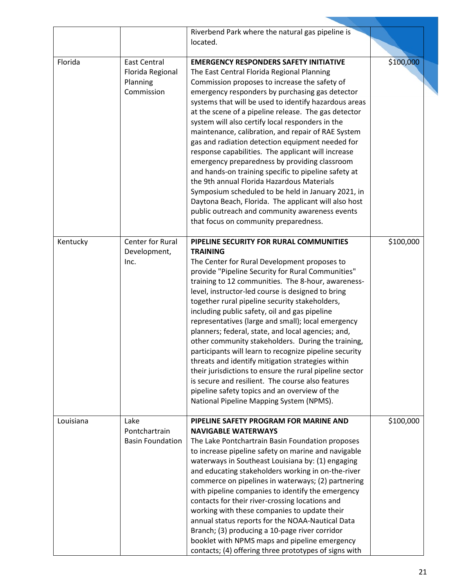|           |                                                                   | Riverbend Park where the natural gas pipeline is<br>located.                                                                                                                                                                                                                                                                                                                                                                                                                                                                                                                                                                                                                                                                                                                                                                                                                                         |           |
|-----------|-------------------------------------------------------------------|------------------------------------------------------------------------------------------------------------------------------------------------------------------------------------------------------------------------------------------------------------------------------------------------------------------------------------------------------------------------------------------------------------------------------------------------------------------------------------------------------------------------------------------------------------------------------------------------------------------------------------------------------------------------------------------------------------------------------------------------------------------------------------------------------------------------------------------------------------------------------------------------------|-----------|
| Florida   | <b>East Central</b><br>Florida Regional<br>Planning<br>Commission | <b>EMERGENCY RESPONDERS SAFETY INITIATIVE</b><br>The East Central Florida Regional Planning<br>Commission proposes to increase the safety of<br>emergency responders by purchasing gas detector<br>systems that will be used to identify hazardous areas<br>at the scene of a pipeline release. The gas detector<br>system will also certify local responders in the<br>maintenance, calibration, and repair of RAE System<br>gas and radiation detection equipment needed for<br>response capabilities. The applicant will increase<br>emergency preparedness by providing classroom<br>and hands-on training specific to pipeline safety at<br>the 9th annual Florida Hazardous Materials<br>Symposium scheduled to be held in January 2021, in<br>Daytona Beach, Florida. The applicant will also host<br>public outreach and community awareness events<br>that focus on community preparedness. | \$100,000 |
| Kentucky  | Center for Rural<br>Development,<br>Inc.                          | PIPELINE SECURITY FOR RURAL COMMUNITIES<br><b>TRAINING</b><br>The Center for Rural Development proposes to<br>provide "Pipeline Security for Rural Communities"<br>training to 12 communities. The 8-hour, awareness-<br>level, instructor-led course is designed to bring<br>together rural pipeline security stakeholders,<br>including public safety, oil and gas pipeline<br>representatives (large and small); local emergency<br>planners; federal, state, and local agencies; and,<br>other community stakeholders. During the training,<br>participants will learn to recognize pipeline security<br>threats and identify mitigation strategies within<br>their jurisdictions to ensure the rural pipeline sector<br>is secure and resilient. The course also features<br>pipeline safety topics and an overview of the<br>National Pipeline Mapping System (NPMS).                          | \$100,000 |
| Louisiana | Lake<br>Pontchartrain<br><b>Basin Foundation</b>                  | PIPELINE SAFETY PROGRAM FOR MARINE AND<br><b>NAVIGABLE WATERWAYS</b><br>The Lake Pontchartrain Basin Foundation proposes<br>to increase pipeline safety on marine and navigable<br>waterways in Southeast Louisiana by: (1) engaging<br>and educating stakeholders working in on-the-river<br>commerce on pipelines in waterways; (2) partnering<br>with pipeline companies to identify the emergency<br>contacts for their river-crossing locations and<br>working with these companies to update their<br>annual status reports for the NOAA-Nautical Data<br>Branch; (3) producing a 10-page river corridor<br>booklet with NPMS maps and pipeline emergency<br>contacts; (4) offering three prototypes of signs with                                                                                                                                                                             | \$100,000 |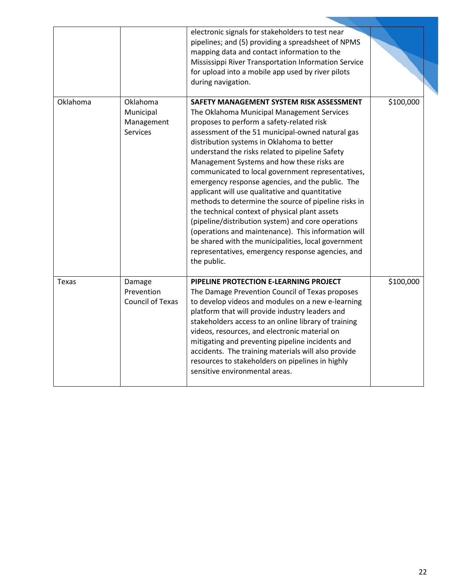|          |                                                        | electronic signals for stakeholders to test near<br>pipelines; and (5) providing a spreadsheet of NPMS<br>mapping data and contact information to the<br>Mississippi River Transportation Information Service<br>for upload into a mobile app used by river pilots<br>during navigation.                                                                                                                                                                                                                                                                                                                                                                                                                                                                                                                                                             |           |
|----------|--------------------------------------------------------|------------------------------------------------------------------------------------------------------------------------------------------------------------------------------------------------------------------------------------------------------------------------------------------------------------------------------------------------------------------------------------------------------------------------------------------------------------------------------------------------------------------------------------------------------------------------------------------------------------------------------------------------------------------------------------------------------------------------------------------------------------------------------------------------------------------------------------------------------|-----------|
| Oklahoma | Oklahoma<br>Municipal<br>Management<br><b>Services</b> | SAFETY MANAGEMENT SYSTEM RISK ASSESSMENT<br>The Oklahoma Municipal Management Services<br>proposes to perform a safety-related risk<br>assessment of the 51 municipal-owned natural gas<br>distribution systems in Oklahoma to better<br>understand the risks related to pipeline Safety<br>Management Systems and how these risks are<br>communicated to local government representatives,<br>emergency response agencies, and the public. The<br>applicant will use qualitative and quantitative<br>methods to determine the source of pipeline risks in<br>the technical context of physical plant assets<br>(pipeline/distribution system) and core operations<br>(operations and maintenance). This information will<br>be shared with the municipalities, local government<br>representatives, emergency response agencies, and<br>the public. | \$100,000 |
| Texas    | Damage<br>Prevention<br><b>Council of Texas</b>        | PIPELINE PROTECTION E-LEARNING PROJECT<br>The Damage Prevention Council of Texas proposes<br>to develop videos and modules on a new e-learning<br>platform that will provide industry leaders and<br>stakeholders access to an online library of training<br>videos, resources, and electronic material on<br>mitigating and preventing pipeline incidents and<br>accidents. The training materials will also provide<br>resources to stakeholders on pipelines in highly<br>sensitive environmental areas.                                                                                                                                                                                                                                                                                                                                          | \$100,000 |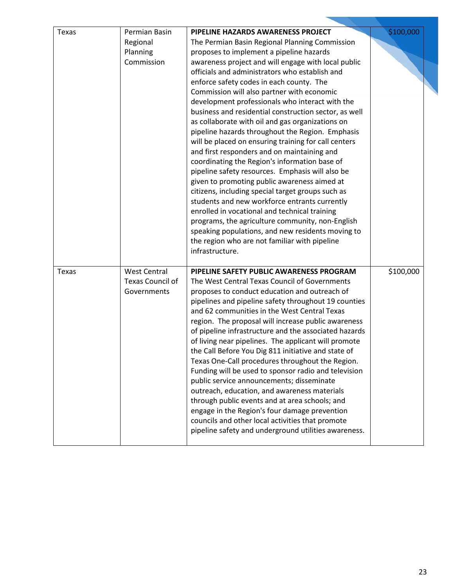| Texas | Permian Basin<br>Regional<br>Planning<br>Commission           | PIPELINE HAZARDS AWARENESS PROJECT<br>The Permian Basin Regional Planning Commission<br>proposes to implement a pipeline hazards<br>awareness project and will engage with local public<br>officials and administrators who establish and<br>enforce safety codes in each county. The<br>Commission will also partner with economic<br>development professionals who interact with the<br>business and residential construction sector, as well<br>as collaborate with oil and gas organizations on<br>pipeline hazards throughout the Region. Emphasis<br>will be placed on ensuring training for call centers<br>and first responders and on maintaining and<br>coordinating the Region's information base of<br>pipeline safety resources. Emphasis will also be<br>given to promoting public awareness aimed at<br>citizens, including special target groups such as<br>students and new workforce entrants currently<br>enrolled in vocational and technical training<br>programs, the agriculture community, non-English<br>speaking populations, and new residents moving to<br>the region who are not familiar with pipeline<br>infrastructure. | \$100,000 |
|-------|---------------------------------------------------------------|---------------------------------------------------------------------------------------------------------------------------------------------------------------------------------------------------------------------------------------------------------------------------------------------------------------------------------------------------------------------------------------------------------------------------------------------------------------------------------------------------------------------------------------------------------------------------------------------------------------------------------------------------------------------------------------------------------------------------------------------------------------------------------------------------------------------------------------------------------------------------------------------------------------------------------------------------------------------------------------------------------------------------------------------------------------------------------------------------------------------------------------------------------|-----------|
| Texas | <b>West Central</b><br><b>Texas Council of</b><br>Governments | PIPELINE SAFETY PUBLIC AWARENESS PROGRAM<br>The West Central Texas Council of Governments<br>proposes to conduct education and outreach of<br>pipelines and pipeline safety throughout 19 counties<br>and 62 communities in the West Central Texas<br>region. The proposal will increase public awareness<br>of pipeline infrastructure and the associated hazards<br>of living near pipelines. The applicant will promote<br>the Call Before You Dig 811 initiative and state of<br>Texas One-Call procedures throughout the Region.<br>Funding will be used to sponsor radio and television<br>public service announcements; disseminate<br>outreach, education, and awareness materials<br>through public events and at area schools; and<br>engage in the Region's four damage prevention<br>councils and other local activities that promote<br>pipeline safety and underground utilities awareness.                                                                                                                                                                                                                                               | \$100,000 |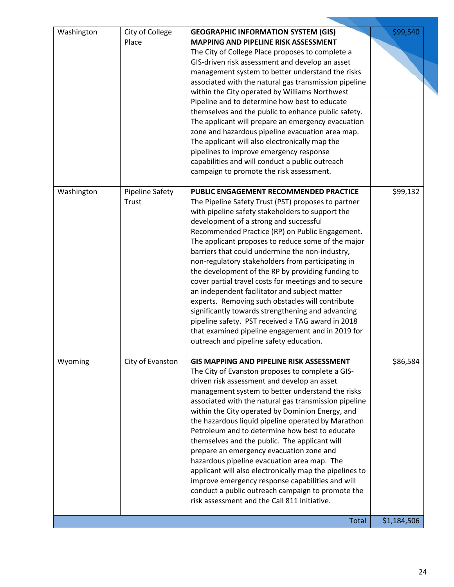| Washington | City of College<br>Place        | <b>GEOGRAPHIC INFORMATION SYSTEM (GIS)</b><br><b>MAPPING AND PIPELINE RISK ASSESSMENT</b><br>The City of College Place proposes to complete a<br>GIS-driven risk assessment and develop an asset<br>management system to better understand the risks<br>associated with the natural gas transmission pipeline<br>within the City operated by Williams Northwest<br>Pipeline and to determine how best to educate<br>themselves and the public to enhance public safety.<br>The applicant will prepare an emergency evacuation<br>zone and hazardous pipeline evacuation area map.<br>The applicant will also electronically map the<br>pipelines to improve emergency response<br>capabilities and will conduct a public outreach<br>campaign to promote the risk assessment.                                                                    | \$99,540    |
|------------|---------------------------------|--------------------------------------------------------------------------------------------------------------------------------------------------------------------------------------------------------------------------------------------------------------------------------------------------------------------------------------------------------------------------------------------------------------------------------------------------------------------------------------------------------------------------------------------------------------------------------------------------------------------------------------------------------------------------------------------------------------------------------------------------------------------------------------------------------------------------------------------------|-------------|
| Washington | <b>Pipeline Safety</b><br>Trust | <b>PUBLIC ENGAGEMENT RECOMMENDED PRACTICE</b><br>The Pipeline Safety Trust (PST) proposes to partner<br>with pipeline safety stakeholders to support the<br>development of a strong and successful<br>Recommended Practice (RP) on Public Engagement.<br>The applicant proposes to reduce some of the major<br>barriers that could undermine the non-industry,<br>non-regulatory stakeholders from participating in<br>the development of the RP by providing funding to<br>cover partial travel costs for meetings and to secure<br>an independent facilitator and subject matter<br>experts. Removing such obstacles will contribute<br>significantly towards strengthening and advancing<br>pipeline safety. PST received a TAG award in 2018<br>that examined pipeline engagement and in 2019 for<br>outreach and pipeline safety education. | \$99,132    |
| Wyoming    | City of Evanston                | <b>GIS MAPPING AND PIPELINE RISK ASSESSMENT</b><br>The City of Evanston proposes to complete a GIS-<br>driven risk assessment and develop an asset<br>management system to better understand the risks<br>associated with the natural gas transmission pipeline<br>within the City operated by Dominion Energy, and<br>the hazardous liquid pipeline operated by Marathon<br>Petroleum and to determine how best to educate<br>themselves and the public. The applicant will<br>prepare an emergency evacuation zone and<br>hazardous pipeline evacuation area map. The<br>applicant will also electronically map the pipelines to<br>improve emergency response capabilities and will<br>conduct a public outreach campaign to promote the<br>risk assessment and the Call 811 initiative.                                                      | \$86,584    |
|            |                                 | <b>Total</b>                                                                                                                                                                                                                                                                                                                                                                                                                                                                                                                                                                                                                                                                                                                                                                                                                                     | \$1,184,506 |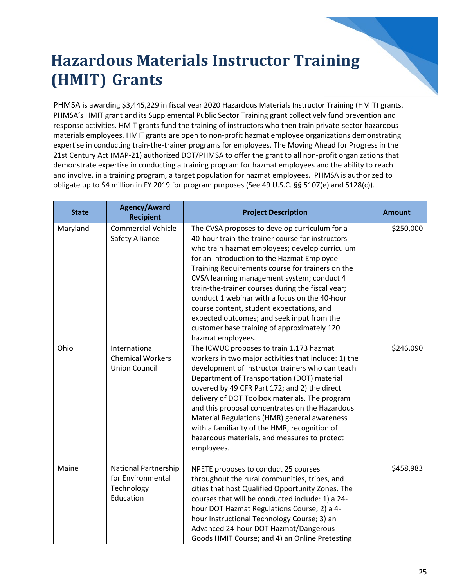#### **Hazardous Materials Instructor Training (HMIT) Grants**

PHMSA is awarding \$3,445,229 in fiscal year 2020 Hazardous Materials Instructor Training (HMIT) grants. PHMSA's HMIT grant and its Supplemental Public Sector Training grant collectively fund prevention and response activities. HMIT grants fund the training of instructors who then train private-sector hazardous materials employees. HMIT grants are open to non-profit hazmat employee organizations demonstrating expertise in conducting train-the-trainer programs for employees. The Moving Ahead for Progress in the 21st Century Act (MAP-21) authorized DOT/PHMSA to offer the grant to all non-profit organizations that demonstrate expertise in conducting a training program for hazmat employees and the ability to reach and involve, in a training program, a target population for hazmat employees. PHMSA is authorized to obligate up to \$4 million in FY 2019 for program purposes (See 49 U.S.C. §§ 5107(e) and 5128(c)).

| <b>State</b> | <b>Agency/Award</b><br><b>Recipient</b>                                     | <b>Project Description</b>                                                                                                                                                                                                                                                                                                                                                                                                                                                                                                                                               | <b>Amount</b> |
|--------------|-----------------------------------------------------------------------------|--------------------------------------------------------------------------------------------------------------------------------------------------------------------------------------------------------------------------------------------------------------------------------------------------------------------------------------------------------------------------------------------------------------------------------------------------------------------------------------------------------------------------------------------------------------------------|---------------|
| Maryland     | <b>Commercial Vehicle</b><br>Safety Alliance                                | The CVSA proposes to develop curriculum for a<br>40-hour train-the-trainer course for instructors<br>who train hazmat employees; develop curriculum<br>for an Introduction to the Hazmat Employee<br>Training Requirements course for trainers on the<br>CVSA learning management system; conduct 4<br>train-the-trainer courses during the fiscal year;<br>conduct 1 webinar with a focus on the 40-hour<br>course content, student expectations, and<br>expected outcomes; and seek input from the<br>customer base training of approximately 120<br>hazmat employees. | \$250,000     |
| Ohio         | International<br><b>Chemical Workers</b><br><b>Union Council</b>            | The ICWUC proposes to train 1,173 hazmat<br>workers in two major activities that include: 1) the<br>development of instructor trainers who can teach<br>Department of Transportation (DOT) material<br>covered by 49 CFR Part 172; and 2) the direct<br>delivery of DOT Toolbox materials. The program<br>and this proposal concentrates on the Hazardous<br>Material Regulations (HMR) general awareness<br>with a familiarity of the HMR, recognition of<br>hazardous materials, and measures to protect<br>employees.                                                 | \$246,090     |
| Maine        | <b>National Partnership</b><br>for Environmental<br>Technology<br>Education | NPETE proposes to conduct 25 courses<br>throughout the rural communities, tribes, and<br>cities that host Qualified Opportunity Zones. The<br>courses that will be conducted include: 1) a 24-<br>hour DOT Hazmat Regulations Course; 2) a 4-<br>hour Instructional Technology Course; 3) an<br>Advanced 24-hour DOT Hazmat/Dangerous<br>Goods HMIT Course; and 4) an Online Pretesting                                                                                                                                                                                  | \$458,983     |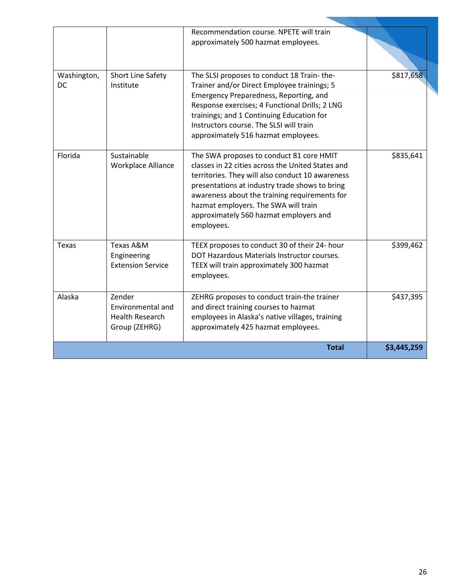|                          |                                                                        | Recommendation course. NPETE will train<br>approximately 500 hazmat employees.                                                                                                                                                                                                                                                                       |             |
|--------------------------|------------------------------------------------------------------------|------------------------------------------------------------------------------------------------------------------------------------------------------------------------------------------------------------------------------------------------------------------------------------------------------------------------------------------------------|-------------|
| Washington,<br><b>DC</b> | Short Line Safety<br>Institute                                         | The SLSI proposes to conduct 18 Train-the-<br>Trainer and/or Direct Employee trainings; 5<br>Emergency Preparedness, Reporting, and<br>Response exercises; 4 Functional Drills; 2 LNG<br>trainings; and 1 Continuing Education for<br>Instructors course. The SLSI will train<br>approximately 516 hazmat employees.                                 | \$817,658   |
| Florida                  | Sustainable<br><b>Workplace Alliance</b>                               | The SWA proposes to conduct 81 core HMIT<br>classes in 22 cities across the United States and<br>territories. They will also conduct 10 awareness<br>presentations at industry trade shows to bring<br>awareness about the training requirements for<br>hazmat employers. The SWA will train<br>approximately 560 hazmat employers and<br>employees. | \$835,641   |
| Texas                    | Texas A&M<br>Engineering<br><b>Extension Service</b>                   | TEEX proposes to conduct 30 of their 24- hour<br>DOT Hazardous Materials Instructor courses.<br>TEEX will train approximately 300 hazmat<br>employees.                                                                                                                                                                                               | \$399,462   |
| Alaska                   | Zender<br>Environmental and<br><b>Health Research</b><br>Group (ZEHRG) | ZEHRG proposes to conduct train-the trainer<br>and direct training courses to hazmat<br>employees in Alaska's native villages, training<br>approximately 425 hazmat employees.                                                                                                                                                                       | \$437,395   |
| <b>Total</b>             |                                                                        |                                                                                                                                                                                                                                                                                                                                                      | \$3,445,259 |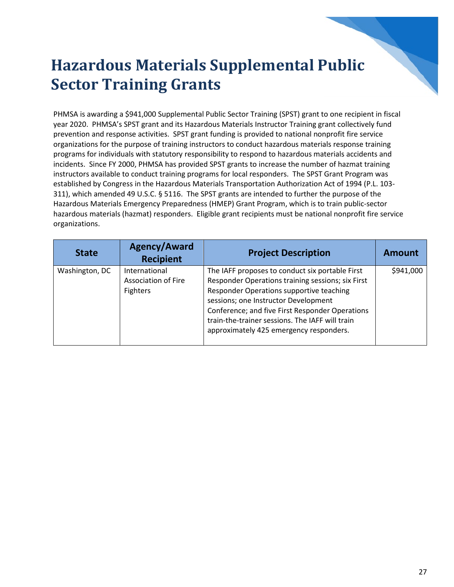#### **Hazardous Materials Supplemental Public Sector Training Grants**

PHMSA is awarding a \$941,000 Supplemental Public Sector Training (SPST) grant to one recipient in fiscal year 2020. PHMSA's SPST grant and its Hazardous Materials Instructor Training grant collectively fund prevention and response activities. SPST grant funding is provided to national nonprofit fire service organizations for the purpose of training instructors to conduct hazardous materials response training programs for individuals with statutory responsibility to respond to hazardous materials accidents and incidents. Since FY 2000, PHMSA has provided SPST grants to increase the number of hazmat training instructors available to conduct training programs for local responders. The SPST Grant Program was established by Congress in the Hazardous Materials Transportation Authorization Act of 1994 (P.L. 103- 311), which amended 49 U.S.C. § 5116. The SPST grants are intended to further the purpose of the Hazardous Materials Emergency Preparedness (HMEP) Grant Program, which is to train public-sector hazardous materials (hazmat) responders. Eligible grant recipients must be national nonprofit fire service organizations.

| <b>State</b>   | <b>Agency/Award</b><br><b>Recipient</b>                        | <b>Project Description</b>                                                                                                                                                                                                                                                                                                                | <b>Amount</b> |
|----------------|----------------------------------------------------------------|-------------------------------------------------------------------------------------------------------------------------------------------------------------------------------------------------------------------------------------------------------------------------------------------------------------------------------------------|---------------|
| Washington, DC | International<br><b>Association of Fire</b><br><b>Fighters</b> | The IAFF proposes to conduct six portable First<br>Responder Operations training sessions; six First<br>Responder Operations supportive teaching<br>sessions; one Instructor Development<br>Conference; and five First Responder Operations<br>train-the-trainer sessions. The IAFF will train<br>approximately 425 emergency responders. | \$941,000     |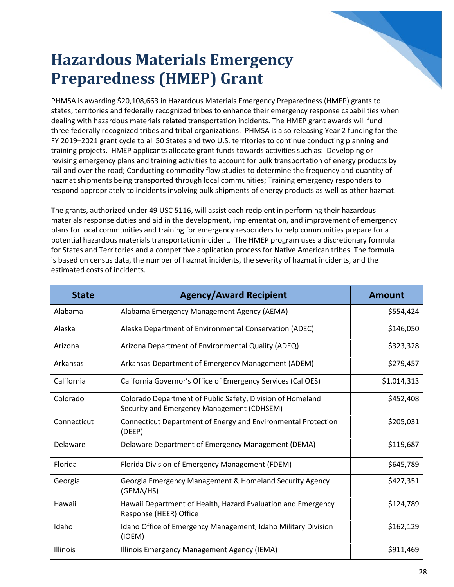#### **Hazardous Materials Emergency Preparedness (HMEP) Grant**

PHMSA is awarding \$20,108,663 in Hazardous Materials Emergency Preparedness (HMEP) grants to states, territories and federally recognized tribes to enhance their emergency response capabilities when dealing with hazardous materials related transportation incidents. The HMEP grant awards will fund three federally recognized tribes and tribal organizations. PHMSA is also releasing Year 2 funding for the FY 2019–2021 grant cycle to all 50 States and two U.S. territories to continue conducting planning and training projects. HMEP applicants allocate grant funds towards activities such as: Developing or revising emergency plans and training activities to account for bulk transportation of energy products by rail and over the road; Conducting commodity flow studies to determine the frequency and quantity of hazmat shipments being transported through local communities; Training emergency responders to respond appropriately to incidents involving bulk shipments of energy products as well as other hazmat.

The grants, authorized under 49 USC 5116, will assist each recipient in performing their hazardous materials response duties and aid in the development, implementation, and improvement of emergency plans for local communities and training for emergency responders to help communities prepare for a potential hazardous materials transportation incident. The HMEP program uses a discretionary formula for States and Territories and a competitive application process for Native American tribes. The formula is based on census data, the number of hazmat incidents, the severity of hazmat incidents, and the estimated costs of incidents.

| <b>State</b> | <b>Agency/Award Recipient</b>                                                                            | <b>Amount</b> |
|--------------|----------------------------------------------------------------------------------------------------------|---------------|
| Alabama      | Alabama Emergency Management Agency (AEMA)                                                               | \$554,424     |
| Alaska       | Alaska Department of Environmental Conservation (ADEC)                                                   | \$146,050     |
| Arizona      | Arizona Department of Environmental Quality (ADEQ)                                                       | \$323,328     |
| Arkansas     | Arkansas Department of Emergency Management (ADEM)                                                       | \$279,457     |
| California   | California Governor's Office of Emergency Services (Cal OES)                                             | \$1,014,313   |
| Colorado     | Colorado Department of Public Safety, Division of Homeland<br>Security and Emergency Management (CDHSEM) | \$452,408     |
| Connecticut  | Connecticut Department of Energy and Environmental Protection<br>(DEEP)                                  | \$205,031     |
| Delaware     | Delaware Department of Emergency Management (DEMA)                                                       | \$119,687     |
| Florida      | Florida Division of Emergency Management (FDEM)                                                          | \$645,789     |
| Georgia      | Georgia Emergency Management & Homeland Security Agency<br>(GEMA/HS)                                     | \$427,351     |
| Hawaii       | Hawaii Department of Health, Hazard Evaluation and Emergency<br>Response (HEER) Office                   | \$124,789     |
| Idaho        | Idaho Office of Emergency Management, Idaho Military Division<br>(IOEM)                                  | \$162,129     |
| Illinois     | Illinois Emergency Management Agency (IEMA)                                                              | \$911,469     |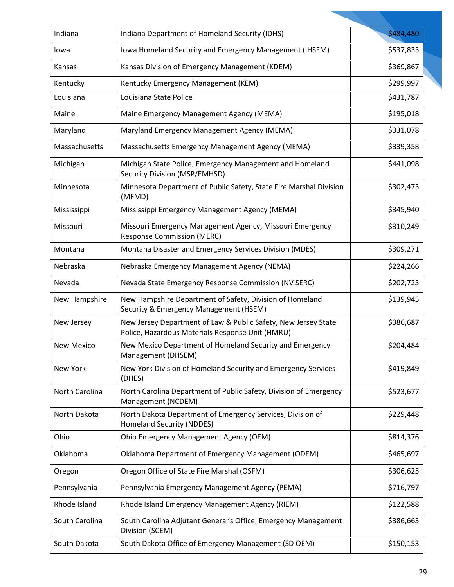| Indiana           | Indiana Department of Homeland Security (IDHS)                                                                     | \$484,480 |
|-------------------|--------------------------------------------------------------------------------------------------------------------|-----------|
| lowa              | Iowa Homeland Security and Emergency Management (IHSEM)                                                            | \$537,833 |
| Kansas            | Kansas Division of Emergency Management (KDEM)                                                                     | \$369,867 |
| Kentucky          | Kentucky Emergency Management (KEM)                                                                                | \$299,997 |
| Louisiana         | Louisiana State Police                                                                                             | \$431,787 |
| Maine             | Maine Emergency Management Agency (MEMA)                                                                           | \$195,018 |
| Maryland          | Maryland Emergency Management Agency (MEMA)                                                                        | \$331,078 |
| Massachusetts     | Massachusetts Emergency Management Agency (MEMA)                                                                   | \$339,358 |
| Michigan          | Michigan State Police, Emergency Management and Homeland<br>Security Division (MSP/EMHSD)                          | \$441,098 |
| Minnesota         | Minnesota Department of Public Safety, State Fire Marshal Division<br>(MFMD)                                       | \$302,473 |
| Mississippi       | Mississippi Emergency Management Agency (MEMA)                                                                     | \$345,940 |
| Missouri          | Missouri Emergency Management Agency, Missouri Emergency<br><b>Response Commission (MERC)</b>                      | \$310,249 |
| Montana           | Montana Disaster and Emergency Services Division (MDES)                                                            | \$309,271 |
| Nebraska          | Nebraska Emergency Management Agency (NEMA)                                                                        | \$224,266 |
| Nevada            | Nevada State Emergency Response Commission (NV SERC)                                                               | \$202,723 |
| New Hampshire     | New Hampshire Department of Safety, Division of Homeland<br>Security & Emergency Management (HSEM)                 | \$139,945 |
| New Jersey        | New Jersey Department of Law & Public Safety, New Jersey State<br>Police, Hazardous Materials Response Unit (HMRU) | \$386,687 |
| <b>New Mexico</b> | New Mexico Department of Homeland Security and Emergency<br>Management (DHSEM)                                     | \$204,484 |
| New York          | New York Division of Homeland Security and Emergency Services<br>(DHES)                                            | \$419,849 |
| North Carolina    | North Carolina Department of Public Safety, Division of Emergency<br>Management (NCDEM)                            | \$523,677 |
| North Dakota      | North Dakota Department of Emergency Services, Division of<br><b>Homeland Security (NDDES)</b>                     | \$229,448 |
| Ohio              | Ohio Emergency Management Agency (OEM)                                                                             | \$814,376 |
| Oklahoma          | Oklahoma Department of Emergency Management (ODEM)                                                                 | \$465,697 |
| Oregon            | Oregon Office of State Fire Marshal (OSFM)                                                                         | \$306,625 |
| Pennsylvania      | Pennsylvania Emergency Management Agency (PEMA)                                                                    | \$716,797 |
| Rhode Island      | Rhode Island Emergency Management Agency (RIEM)                                                                    | \$122,588 |
| South Carolina    | South Carolina Adjutant General's Office, Emergency Management<br>Division (SCEM)                                  | \$386,663 |
| South Dakota      | South Dakota Office of Emergency Management (SD OEM)                                                               | \$150,153 |
|                   |                                                                                                                    |           |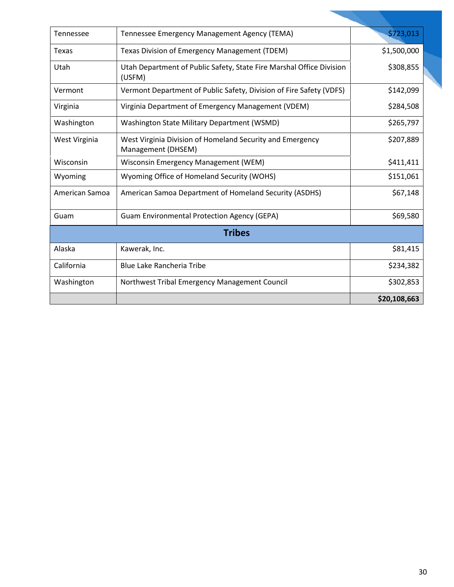| <b>Tennessee</b> | Tennessee Emergency Management Agency (TEMA)                                    | \$723,013    |  |  |
|------------------|---------------------------------------------------------------------------------|--------------|--|--|
| Texas            | Texas Division of Emergency Management (TDEM)                                   | \$1,500,000  |  |  |
| Utah             | Utah Department of Public Safety, State Fire Marshal Office Division<br>(USFM)  | \$308,855    |  |  |
| Vermont          | Vermont Department of Public Safety, Division of Fire Safety (VDFS)             | \$142,099    |  |  |
| Virginia         | Virginia Department of Emergency Management (VDEM)                              | \$284,508    |  |  |
| Washington       | Washington State Military Department (WSMD)                                     | \$265,797    |  |  |
| West Virginia    | West Virginia Division of Homeland Security and Emergency<br>Management (DHSEM) | \$207,889    |  |  |
| Wisconsin        | Wisconsin Emergency Management (WEM)                                            | \$411,411    |  |  |
| Wyoming          | Wyoming Office of Homeland Security (WOHS)                                      | \$151,061    |  |  |
| American Samoa   | American Samoa Department of Homeland Security (ASDHS)                          | \$67,148     |  |  |
| Guam             | <b>Guam Environmental Protection Agency (GEPA)</b>                              | \$69,580     |  |  |
| <b>Tribes</b>    |                                                                                 |              |  |  |
| Alaska           | Kawerak, Inc.                                                                   | \$81,415     |  |  |
| California       | <b>Blue Lake Rancheria Tribe</b>                                                | \$234,382    |  |  |
| Washington       | Northwest Tribal Emergency Management Council                                   | \$302,853    |  |  |
|                  |                                                                                 | \$20,108,663 |  |  |